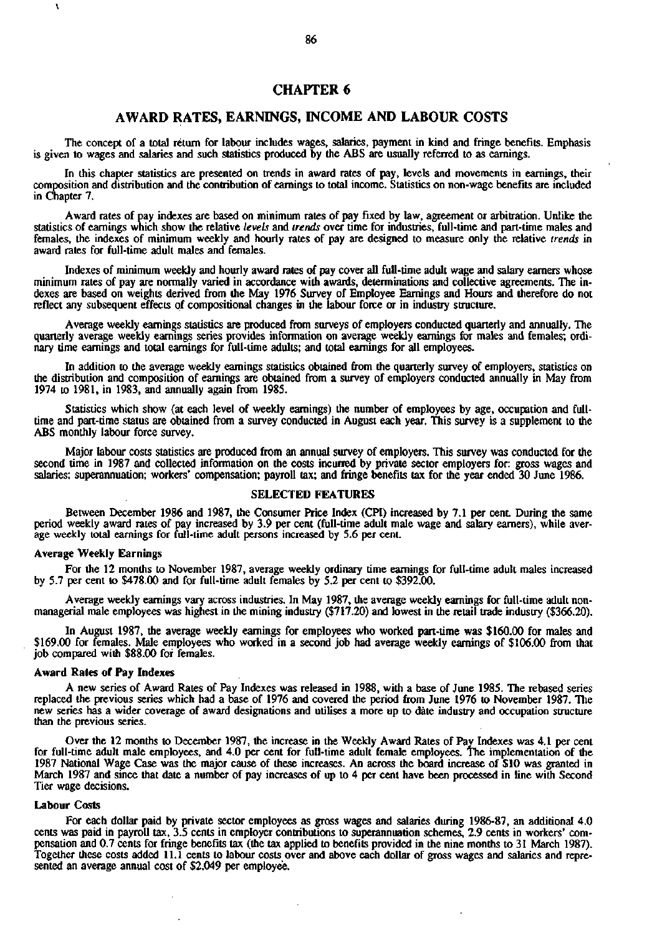# **CHAPTER 6**

# **AWARD RATES, EARNINGS, INCOME AND LABOUR COSTS**

The concept of a total return for labour includes wages, salaries, payment in kind and fringe benefits. Emphasis is given to wages and salaries and such statistics produced by the ABS are usually referred to as earnings.

In this chapter statistics are presented on trends in award rates of pay, levels and movements in earnings, their composition and distribution and the contribution of earnings to total income. Statistics on non-wage benefits are included in Chapter 7.

Award rates of pay indexes are based on minimum rates of pay fixed by law, agreement or arbitration. Unlike the statistics of earnings which show the relative *levels* and *trends* over time for industries, full-time and part-time males and females, the indexes of minimum weekly and hourly rates of pay are designed to measure only the relative *trends* in award rates for full-time adult males and females.

Indexes of minimum weekly and hourly award rates of pay cover all full-time adult wage and salary earners whose minimum rates of pay are normally varied in accordance with awards, determinations and collective agreements. The indexes are based on weights derived from the May 1976 Survey of Employee Earnings and Hours and therefore do not reflect any subsequent effects of compositional changes in the labour force or in industry structure.

Average weekly earnings statistics are produced from surveys of employers conducted quarterly and annually. The quarterly average weekly earnings series provides information on average weekly earnings for males and females; ordinary time earnings and total earnings for full-time adults; and total earnings for all employees.

In addition to the average weekly earnings statistics obtained from the quarterly survey of employers, statistics on the distribution and composition of earnings are obtained from a survey of employers conducted annually in May from 1974 to 1981, in 1983, and annually again from 1985.

Statistics which show (at each level of weekly earnings) the number of employees by age, occupation and fulltime and part-time status are obtained from a survey conducted in August each year. This survey is a supplement to the ABS monthly labour force survey.

Major labour costs statistics are produced from an annual survey of employers. This survey was conducted for the second time in 1987 and collected information on the costs incurred by private sector employers for: gross wages and salaries; superannuation; workers' compensation; payroll tax; and fringe benefits tax for the year ended 30 June 1986.

## **SELECTED FEATURES**

Between December 1986 and 1987, the Consumer Price Index (CPI) increased by 7.1 per cent. During the same period weekly award rates of pay increased by 3.9 per cent (full-time adult male wage and salary earners), while average weekly total earnings for full-time adult persons increased by 5.6 per cent.

## **Average Weekly Earnings**

**\** 

For the 12 months to November 1987, average weekly ordinary time earnings for full-time adult males increased by 5.7 per cent to \$478.00 and for full-time adult females by 5.2 per cent to \$392.00.

Average weekly earnings vary across industries. In May 1987, the average weekly earnings for full-time adult nonmanagerial male employees was highest in the mining industry (\$717.20) and lowest in the retail trade industry (\$366.20).

In August 1987, the average weekly earnings for employees who worked part-time was \$160.00 for males and \$169.00 for females. Male employees who worked in a second job had average weekly earnings of \$106.00 from that job compared with \$88.00 for females.

### **Award Rates of Pay Indexes**

A new series of Award Rates of Pay Indexes was released in 1988, with a base of June 1985. The rebased series replaced the previous series which had a base of 1976 and covered the period from June 1976 to November 1987. The new series has a wider coverage of award designations and utilises a more up to date industry and occupation structure than the previous series.

Over the 12 months to December 1987, the increase in the Weekly Award Rates of Pay Indexes was 4.1 per cent for full-time adult male employees, and 4.0 per cent for full-time adult female employees. The implementation of the 1987 National Wage Case was the major cause of these increases. An across the board increase of \$10 was granted in March 1987 and since that date a number of pay increases of up to 4 per cent have been processed in line with Second Tier wage decisions.

#### **Labour Costs**

For each dollar paid by private sector employees as gross wages and salaries during 1986-87, an additional 4.0 cents was paid in payroll tax, 3.5 cents in employer contributions to superannuation schemes, 2.9 cents in workers' compensation and 0.7 cents for fringe benefits tax (the tax applied to benefits provided in the nine months to 31 March 1987). Together these costs added 11.1 cents to labour costs over and above each dollar of gross wages and salaries and represented an average annual cost of \$2,049 per employee.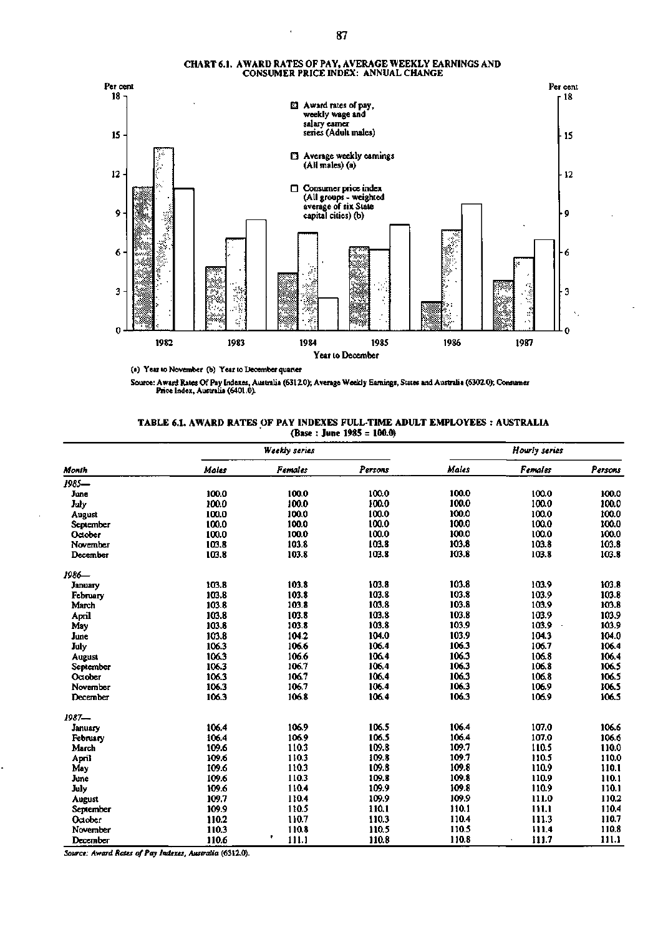

#### CHART 6.1. AWARD RATES OF PAY, AVERAGE WEEKLY EARNINGS AND CONSUMER PRICE INDEX: ANNUAL CHANGE

(a) Year to November (b) Year to December quarter

Source: Award Rates Of Pay Indexes, Australia (6312.0); Average Weekly Earnings, Stales and Australia (6302.0); Consumer Price Index, Australia (6401.0).

| TABLE 6.1. AWARD RATES OF PAY INDEXES FULL-TIME ADULT EMPLOYEES : AUSTRALIA |  |
|-----------------------------------------------------------------------------|--|
| (Base: June 1985 = $100.0$ )                                                |  |

|                  |       | <b>Weekly</b> series |         | Hourly series |                  |         |  |  |
|------------------|-------|----------------------|---------|---------------|------------------|---------|--|--|
| Month            | Males | <b>Females</b>       | Persons | Males         | Females          | Persons |  |  |
| 1985-            |       |                      |         |               |                  |         |  |  |
| June             | 100.0 | 100.0                | 100.0   | 100.0         | 100.0            | 100.0   |  |  |
| July             | 100.0 | 100.0                | 100.0   | 100.0         | 100.0            | 100.0   |  |  |
| <b>August</b>    | 100.0 | 100.0                | 100.0   | 100.0         | 100.0            | 100.0   |  |  |
| <b>September</b> | 100.0 | 100.0                | 100.0   | 100.0         | 100.0            | 100.0   |  |  |
| October          | 100.0 | 100.0                | 100.0   | 100.0         | 100.0            | 100.0   |  |  |
| November         | 103.8 | 103.8                | 103.8   | 103.8         | 103.8            | 103.8   |  |  |
| December         | 103.8 | 103.8                | 103.8   | 103.8         | 103.8            | 103.8   |  |  |
| 1986—            |       |                      |         |               |                  |         |  |  |
| <b>January</b>   | 103.8 | 103.8                | 103.8   | 103.8         | 103.9            | 103.8   |  |  |
| February         | 103.8 | 103.8                | 103.8   | 103.8         | 103.9            | 103.8   |  |  |
| March            | 103.8 | 103.8                | 103.8   | 103.8         | 103.9            | 103.8   |  |  |
| April            | 103.8 | 103.8                | 103.8   | 103.8         | 103.9            | 103.9   |  |  |
| May              | 103.8 | 103.8                | 103.8   | 103.9         | 103.9<br>$\cdot$ | 103.9   |  |  |
| June             | 103.8 | 104.2                | 104.0   | 103.9         | 104.3            | 104.0   |  |  |
| July             | 106.3 | 106.6                | 106.4   | 106.3         | 106.7            | 106.4   |  |  |
| August           | 106.3 | 106.6                | 106.4   | 106.3         | 106.8            | 106.4   |  |  |
| September        | 106.3 | 106.7                | 106.4   | 106.3         | 106.8            | 106.5   |  |  |
| October          | 106.3 | 106.7                | 106.4   | 106.3         | 106.8            | 106.5   |  |  |
| November         | 106.3 | 106.7                | 106.4   | 106.3         | 106.9            | 106.5   |  |  |
| December         | 106.3 | 106.8                | 106.4   | 106.3         | 106.9            | 106.5   |  |  |
| $1987 -$         |       |                      |         |               |                  |         |  |  |
| January          | 106.4 | 106.9                | 106.5   | 106.4         | 107.0            | 106.6   |  |  |
| February         | 106.4 | 106.9                | 106.5   | 106.4         | 107.0            | 106.6   |  |  |
| March            | 109.6 | 110.3                | 109.8   | 109.7         | 110.5            | 110.0   |  |  |
| April            | 109.6 | 110.3                | 109.8   | 109.7         | 110.5            | 110.0   |  |  |
| May              | 109.6 | 110.3                | 109.8   | 109.8         | 110.9            | 110.1   |  |  |
| June             | 109.6 | 110.3                | 109.8   | 109.8         | 110.9            | 110.1   |  |  |
| July             | 109.6 | 110.4                | 109.9   | 109.8         | 110.9            | 110.1   |  |  |
| August           | 109.7 | 110.4                | 109.9   | 109.9         | 111.0            | 110.2   |  |  |
| September        | 109.9 | 110.5                | 110.1   | 110.1         | 111.1            | 110.4   |  |  |
| October          | 110.2 | 110.7                | 110.3   | 110.4         | 111.3            | 110.7   |  |  |
| November         | 110.3 | 110.8                | 110.5   | 110.5         | 111.4            | 110.8   |  |  |
| December         | 110.6 | ٠<br>111.1           | 110.8   | 110.8         | 111.7            | 111.1   |  |  |

*Source: Award Rates of Pay Indexes, Australia* **(6312.0).** 

.

÷.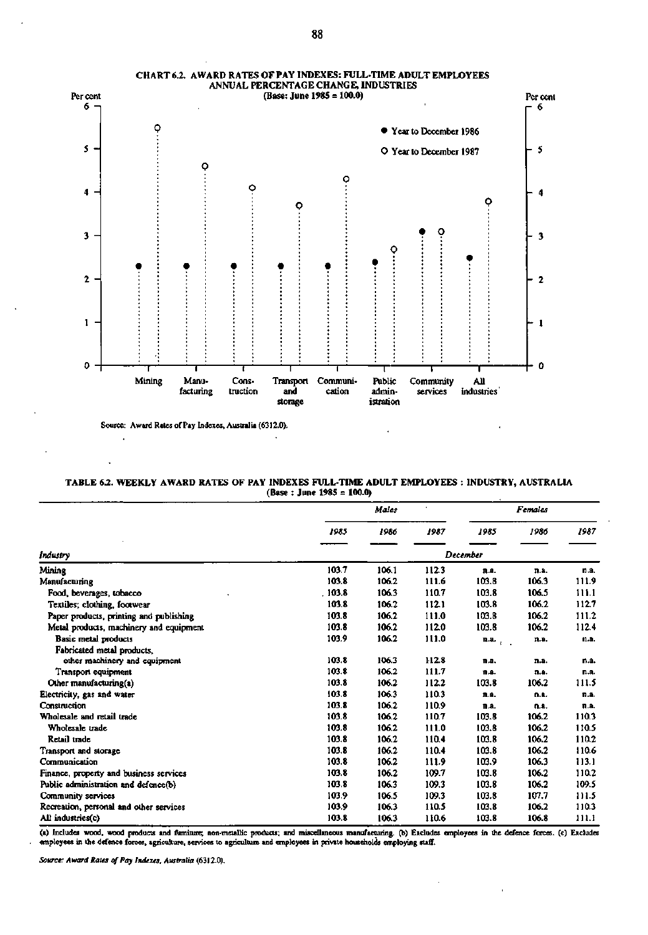

**CHART 6.2. AWARD RATES OF PAY INDEXES: FULL-TIME ADULT EMPLOYEES ANNUAL PERCENTAGE CHANGE, INDUSTRIES** 

**Source: Award Rales of Pay Indexes, Australia (6312.0).** 

 $\ddot{\phantom{0}}$ 

**TABLE 6.2. WEEKLY AWARD RATES OF PAY INDEXES FULL-TIME ADULT EMPLOYEES INDUSTRY, AUSTRALIA (Base : June 1985 = 100.0)** 

|                                         | Males  |          |       | Females              |       |       |  |
|-----------------------------------------|--------|----------|-------|----------------------|-------|-------|--|
|                                         | 1985   | 1986     | 1987  | 1985                 | 1986  | 1987  |  |
| Industry                                |        | December |       |                      |       |       |  |
| Mining                                  | 103.7  | 106.1    | 1123  | n.a.                 | n.a.  | n.a.  |  |
| Manufacturing                           | 103.8  | 106.2    | 111.6 | 103.8                | 106.3 | 111.9 |  |
| Food, beverages, tobacco                | .103.8 | 106.3    | 110.7 | 103.8                | 106.5 | 111.1 |  |
| Textiles; clothing, footwear            | 103.8  | 106.2    | 112.1 | 103.8                | 106.2 | 112.7 |  |
| Paper products, printing and publishing | 103.8  | 106.2    | 111.0 | 103.8                | 106.2 | 111.2 |  |
| Metal products, machinery and equipment | 103.8  | 106.2    | 112.0 | 103.8                | 106.2 | 112.4 |  |
| Basic metal products                    | 103.9  | 106.2    | 111.0 | n.a.<br>$\epsilon$ . | n.a.  | n.a.  |  |
| Fabricated metal products,              |        |          |       |                      |       |       |  |
| other machinery and equipment           | 103.8  | 106.3    | 112.8 | n.a.                 | n.a.  | n.a.  |  |
| Transport equipment                     | 103.8  | 106.2    | 111.7 | n.a.                 | n.a.  | n.a.  |  |
| Other manufacturing(a)                  | 103.8  | 106.2    | 112.2 | 103.8                | 106.2 | 111.5 |  |
| Electricity, gas and water              | 103.8  | 106.3    | 110.3 | n.a.                 | n.a.  | n.a.  |  |
| Construction                            | 103.8  | 106.2    | 110.9 | n.a.                 | n.a.  | n.a.  |  |
| Wholesale and retail trade              | 103.8  | 106.2    | 110.7 | 103.8                | 106.2 | 110.3 |  |
| Wholesale trade                         | 103.8  | 106.2    | 111.0 | 103.8                | 106.2 | 110.5 |  |
| Retail trade                            | 103.8  | 106.2    | 110.4 | 103.8                | 106.2 | 110.2 |  |
| Transport and storage                   | 103.8  | 106.2    | 110.4 | 103.8                | 106.2 | 110.6 |  |
| Communication                           | 103.8  | 106.2    | 111.9 | 103.9                | 106.3 | 113.1 |  |
| Finance, property and business services | 103.8  | 106.2    | 109.7 | 103.8                | 106.2 | 110.2 |  |
| Public administration and defence(b)    | 103.8  | 106.3    | 109.3 | 103.8                | 106.2 | 109.5 |  |
| Community services                      | 103.9  | 106.5    | 109.3 | 103.8                | 107.7 | 111.5 |  |
| Recreation, personal and other services | 103.9  | 106.3    | 110.5 | 103.8                | 106.2 | 110.3 |  |
| All industries(c)                       | 103.8  | 106.3    | 110.6 | 103.8                | 106.8 | 111.1 |  |

(a) Includes wood, wood products and fumiture; non-metallic products; and miscellaneous manufacturing. (b) Excludes employees in the defence forces. (c) Excludes<br>employees in the defence forces, agriculture, services to ag

*Source: Award Rales of Pay Indexes, Australia* **(6312.0).**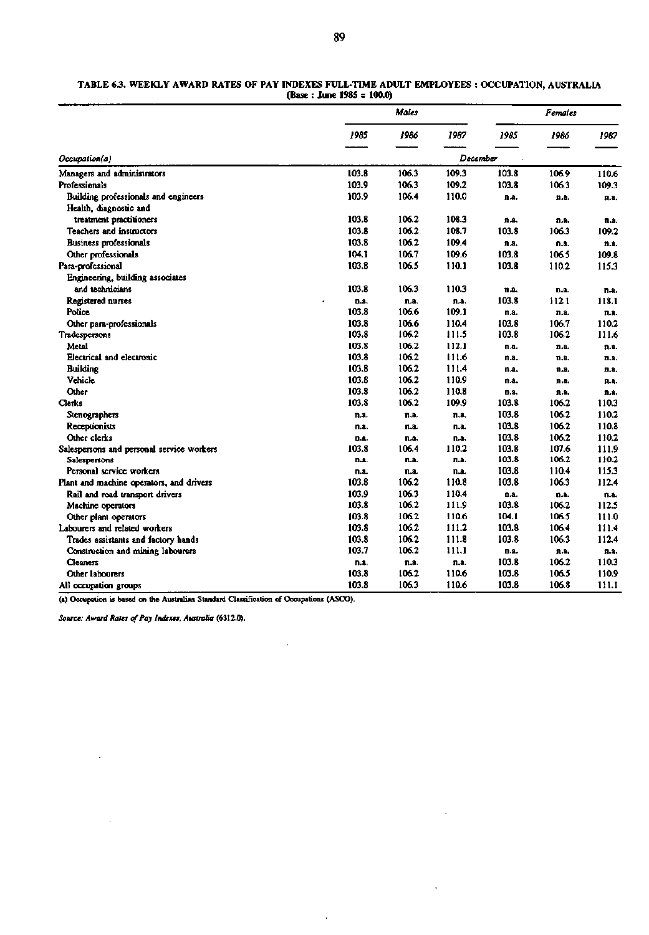#### TABLE 6.3. WEEKLY AWARD RATES OF PAY INDEXES FULL-TIME ADULT EMPLOYEES : OCCUPATION, AUSTRALIA (Base : **June 1985 = 100.0)**

| 1985<br>1986<br>1987<br>1985<br>1986<br>1987<br>December<br>Occupation(a)<br>106.3<br>103.8<br>Managers and administrators<br>103.8<br>109.3<br>106.9<br>110.6<br>103.9<br>106.3<br>109.2<br>103.8<br>106.3<br>109.3<br>Professionals<br>103.9<br>106.4<br>110.0<br>Building professionals and engineers<br>n.a.<br>n.a.<br>n.a.<br>Health, diagnostic and<br>103.8<br>106.2<br>108.3<br>treatment practitioners<br>n.a.<br>n.a.<br>n.a.<br>103.8<br>106.2<br>108.7<br>103.8<br><b>Teachers and instructors</b><br>106.3<br>109.2<br>103.8<br>106.2<br>109.4<br><b>Business professionals</b><br>n.a.<br>n.a.<br>n.a.<br>104.1<br>106.7<br>109.6<br>103.8<br>106.5<br>109.8<br>Other professionals<br>103.8<br>106.5<br>110.1<br>103.8<br>Para-professional<br>110.2<br>115.3<br>Engineering, building associates<br>and technicians<br>103.8<br>106.3<br>110.3<br>n.a.<br>n.a.<br>n.a.<br>103.8<br>Registered nurses<br>112.1<br>118.1<br>D.A.<br>n.a.<br>n.a.<br>103.8<br>106.6<br>109.1<br>Police<br>n.a.<br>n.a.<br>n.a.<br>103.8<br>106.6<br>110.4<br>103.8<br>106.7<br>110.2<br>Other para-professionals<br>103.8<br>106.2<br>111.5<br>103.8<br>106.2<br>111.6<br>Tradespersons<br>103.8<br>106.2<br>112.1<br>Metal<br>n.a.<br>n.a.<br>n.a.<br>103.8<br>106.2<br>111.6<br>Electrical and electronic<br>n.a.<br>n.a.<br>n.a.<br>103.8<br>106.2<br>111.4<br><b>Building</b><br>n.a.<br>n.a.<br>n.a.<br>103.8<br>110.9<br>106.2<br>Vehicle<br>n.a.<br>n.a.<br>n.a.<br>103.8<br>106.2<br>110.8<br>Other<br>n.a.<br>n.a.<br>n.a.<br>103.8<br>106.2<br>109.9<br>103.8<br>106.2<br>110.3<br>Clerks<br>103.8<br>106.2<br>110.2<br>Stenographers<br>n.a.<br>n.a.<br>n.a.<br>103.8<br>110.8<br>Receptionists<br>106.2<br>n.a.<br>n.a.<br>n.a.<br>103.8<br>106.2<br>Other clerks<br>110.2<br>n.a.<br>n.a.<br>n.a. | Males |  |  | <b>Females</b> |  |  |  |
|--------------------------------------------------------------------------------------------------------------------------------------------------------------------------------------------------------------------------------------------------------------------------------------------------------------------------------------------------------------------------------------------------------------------------------------------------------------------------------------------------------------------------------------------------------------------------------------------------------------------------------------------------------------------------------------------------------------------------------------------------------------------------------------------------------------------------------------------------------------------------------------------------------------------------------------------------------------------------------------------------------------------------------------------------------------------------------------------------------------------------------------------------------------------------------------------------------------------------------------------------------------------------------------------------------------------------------------------------------------------------------------------------------------------------------------------------------------------------------------------------------------------------------------------------------------------------------------------------------------------------------------------------------------------------------------------------------------------------------------------------------------------------------------------------------------|-------|--|--|----------------|--|--|--|
|                                                                                                                                                                                                                                                                                                                                                                                                                                                                                                                                                                                                                                                                                                                                                                                                                                                                                                                                                                                                                                                                                                                                                                                                                                                                                                                                                                                                                                                                                                                                                                                                                                                                                                                                                                                                              |       |  |  |                |  |  |  |
|                                                                                                                                                                                                                                                                                                                                                                                                                                                                                                                                                                                                                                                                                                                                                                                                                                                                                                                                                                                                                                                                                                                                                                                                                                                                                                                                                                                                                                                                                                                                                                                                                                                                                                                                                                                                              |       |  |  |                |  |  |  |
|                                                                                                                                                                                                                                                                                                                                                                                                                                                                                                                                                                                                                                                                                                                                                                                                                                                                                                                                                                                                                                                                                                                                                                                                                                                                                                                                                                                                                                                                                                                                                                                                                                                                                                                                                                                                              |       |  |  |                |  |  |  |
|                                                                                                                                                                                                                                                                                                                                                                                                                                                                                                                                                                                                                                                                                                                                                                                                                                                                                                                                                                                                                                                                                                                                                                                                                                                                                                                                                                                                                                                                                                                                                                                                                                                                                                                                                                                                              |       |  |  |                |  |  |  |
|                                                                                                                                                                                                                                                                                                                                                                                                                                                                                                                                                                                                                                                                                                                                                                                                                                                                                                                                                                                                                                                                                                                                                                                                                                                                                                                                                                                                                                                                                                                                                                                                                                                                                                                                                                                                              |       |  |  |                |  |  |  |
|                                                                                                                                                                                                                                                                                                                                                                                                                                                                                                                                                                                                                                                                                                                                                                                                                                                                                                                                                                                                                                                                                                                                                                                                                                                                                                                                                                                                                                                                                                                                                                                                                                                                                                                                                                                                              |       |  |  |                |  |  |  |
|                                                                                                                                                                                                                                                                                                                                                                                                                                                                                                                                                                                                                                                                                                                                                                                                                                                                                                                                                                                                                                                                                                                                                                                                                                                                                                                                                                                                                                                                                                                                                                                                                                                                                                                                                                                                              |       |  |  |                |  |  |  |
|                                                                                                                                                                                                                                                                                                                                                                                                                                                                                                                                                                                                                                                                                                                                                                                                                                                                                                                                                                                                                                                                                                                                                                                                                                                                                                                                                                                                                                                                                                                                                                                                                                                                                                                                                                                                              |       |  |  |                |  |  |  |
|                                                                                                                                                                                                                                                                                                                                                                                                                                                                                                                                                                                                                                                                                                                                                                                                                                                                                                                                                                                                                                                                                                                                                                                                                                                                                                                                                                                                                                                                                                                                                                                                                                                                                                                                                                                                              |       |  |  |                |  |  |  |
|                                                                                                                                                                                                                                                                                                                                                                                                                                                                                                                                                                                                                                                                                                                                                                                                                                                                                                                                                                                                                                                                                                                                                                                                                                                                                                                                                                                                                                                                                                                                                                                                                                                                                                                                                                                                              |       |  |  |                |  |  |  |
|                                                                                                                                                                                                                                                                                                                                                                                                                                                                                                                                                                                                                                                                                                                                                                                                                                                                                                                                                                                                                                                                                                                                                                                                                                                                                                                                                                                                                                                                                                                                                                                                                                                                                                                                                                                                              |       |  |  |                |  |  |  |
|                                                                                                                                                                                                                                                                                                                                                                                                                                                                                                                                                                                                                                                                                                                                                                                                                                                                                                                                                                                                                                                                                                                                                                                                                                                                                                                                                                                                                                                                                                                                                                                                                                                                                                                                                                                                              |       |  |  |                |  |  |  |
|                                                                                                                                                                                                                                                                                                                                                                                                                                                                                                                                                                                                                                                                                                                                                                                                                                                                                                                                                                                                                                                                                                                                                                                                                                                                                                                                                                                                                                                                                                                                                                                                                                                                                                                                                                                                              |       |  |  |                |  |  |  |
|                                                                                                                                                                                                                                                                                                                                                                                                                                                                                                                                                                                                                                                                                                                                                                                                                                                                                                                                                                                                                                                                                                                                                                                                                                                                                                                                                                                                                                                                                                                                                                                                                                                                                                                                                                                                              |       |  |  |                |  |  |  |
|                                                                                                                                                                                                                                                                                                                                                                                                                                                                                                                                                                                                                                                                                                                                                                                                                                                                                                                                                                                                                                                                                                                                                                                                                                                                                                                                                                                                                                                                                                                                                                                                                                                                                                                                                                                                              |       |  |  |                |  |  |  |
|                                                                                                                                                                                                                                                                                                                                                                                                                                                                                                                                                                                                                                                                                                                                                                                                                                                                                                                                                                                                                                                                                                                                                                                                                                                                                                                                                                                                                                                                                                                                                                                                                                                                                                                                                                                                              |       |  |  |                |  |  |  |
|                                                                                                                                                                                                                                                                                                                                                                                                                                                                                                                                                                                                                                                                                                                                                                                                                                                                                                                                                                                                                                                                                                                                                                                                                                                                                                                                                                                                                                                                                                                                                                                                                                                                                                                                                                                                              |       |  |  |                |  |  |  |
|                                                                                                                                                                                                                                                                                                                                                                                                                                                                                                                                                                                                                                                                                                                                                                                                                                                                                                                                                                                                                                                                                                                                                                                                                                                                                                                                                                                                                                                                                                                                                                                                                                                                                                                                                                                                              |       |  |  |                |  |  |  |
|                                                                                                                                                                                                                                                                                                                                                                                                                                                                                                                                                                                                                                                                                                                                                                                                                                                                                                                                                                                                                                                                                                                                                                                                                                                                                                                                                                                                                                                                                                                                                                                                                                                                                                                                                                                                              |       |  |  |                |  |  |  |
|                                                                                                                                                                                                                                                                                                                                                                                                                                                                                                                                                                                                                                                                                                                                                                                                                                                                                                                                                                                                                                                                                                                                                                                                                                                                                                                                                                                                                                                                                                                                                                                                                                                                                                                                                                                                              |       |  |  |                |  |  |  |
|                                                                                                                                                                                                                                                                                                                                                                                                                                                                                                                                                                                                                                                                                                                                                                                                                                                                                                                                                                                                                                                                                                                                                                                                                                                                                                                                                                                                                                                                                                                                                                                                                                                                                                                                                                                                              |       |  |  |                |  |  |  |
|                                                                                                                                                                                                                                                                                                                                                                                                                                                                                                                                                                                                                                                                                                                                                                                                                                                                                                                                                                                                                                                                                                                                                                                                                                                                                                                                                                                                                                                                                                                                                                                                                                                                                                                                                                                                              |       |  |  |                |  |  |  |
|                                                                                                                                                                                                                                                                                                                                                                                                                                                                                                                                                                                                                                                                                                                                                                                                                                                                                                                                                                                                                                                                                                                                                                                                                                                                                                                                                                                                                                                                                                                                                                                                                                                                                                                                                                                                              |       |  |  |                |  |  |  |
|                                                                                                                                                                                                                                                                                                                                                                                                                                                                                                                                                                                                                                                                                                                                                                                                                                                                                                                                                                                                                                                                                                                                                                                                                                                                                                                                                                                                                                                                                                                                                                                                                                                                                                                                                                                                              |       |  |  |                |  |  |  |
|                                                                                                                                                                                                                                                                                                                                                                                                                                                                                                                                                                                                                                                                                                                                                                                                                                                                                                                                                                                                                                                                                                                                                                                                                                                                                                                                                                                                                                                                                                                                                                                                                                                                                                                                                                                                              |       |  |  |                |  |  |  |
|                                                                                                                                                                                                                                                                                                                                                                                                                                                                                                                                                                                                                                                                                                                                                                                                                                                                                                                                                                                                                                                                                                                                                                                                                                                                                                                                                                                                                                                                                                                                                                                                                                                                                                                                                                                                              |       |  |  |                |  |  |  |
| 110.2<br>103.8<br>107.6<br>103.8<br>106.4<br>111.9<br>Salespersons and personal service workers                                                                                                                                                                                                                                                                                                                                                                                                                                                                                                                                                                                                                                                                                                                                                                                                                                                                                                                                                                                                                                                                                                                                                                                                                                                                                                                                                                                                                                                                                                                                                                                                                                                                                                              |       |  |  |                |  |  |  |
| 103.8<br>110.2<br>106.2<br>n.a.<br>Salespersons<br>n.a.<br>D.A.                                                                                                                                                                                                                                                                                                                                                                                                                                                                                                                                                                                                                                                                                                                                                                                                                                                                                                                                                                                                                                                                                                                                                                                                                                                                                                                                                                                                                                                                                                                                                                                                                                                                                                                                              |       |  |  |                |  |  |  |
| 103.8<br>110.4<br>115.3<br>Personal service workers<br>n.a.<br>n.a.<br>n.a.                                                                                                                                                                                                                                                                                                                                                                                                                                                                                                                                                                                                                                                                                                                                                                                                                                                                                                                                                                                                                                                                                                                                                                                                                                                                                                                                                                                                                                                                                                                                                                                                                                                                                                                                  |       |  |  |                |  |  |  |
| 103.8<br>106.2<br>110.8<br>103.8<br>106.3<br>112.4<br>Plant and machine operators, and drivers                                                                                                                                                                                                                                                                                                                                                                                                                                                                                                                                                                                                                                                                                                                                                                                                                                                                                                                                                                                                                                                                                                                                                                                                                                                                                                                                                                                                                                                                                                                                                                                                                                                                                                               |       |  |  |                |  |  |  |
| 103.9<br>106.3<br>110.4<br>Rail and road transport drivers<br>0.8.<br>n.a.<br>n.a.                                                                                                                                                                                                                                                                                                                                                                                                                                                                                                                                                                                                                                                                                                                                                                                                                                                                                                                                                                                                                                                                                                                                                                                                                                                                                                                                                                                                                                                                                                                                                                                                                                                                                                                           |       |  |  |                |  |  |  |
| 103.8<br>103.8<br>106.2<br>111.9<br>106.2<br>112.5<br>Machine operators                                                                                                                                                                                                                                                                                                                                                                                                                                                                                                                                                                                                                                                                                                                                                                                                                                                                                                                                                                                                                                                                                                                                                                                                                                                                                                                                                                                                                                                                                                                                                                                                                                                                                                                                      |       |  |  |                |  |  |  |
| 103.8<br>106.2<br>110.6<br>104.1<br>106.5<br>111.0<br>Other plant operators                                                                                                                                                                                                                                                                                                                                                                                                                                                                                                                                                                                                                                                                                                                                                                                                                                                                                                                                                                                                                                                                                                                                                                                                                                                                                                                                                                                                                                                                                                                                                                                                                                                                                                                                  |       |  |  |                |  |  |  |
| 106.2<br>103.8<br>103.8<br>111.2<br>106.4<br>111.4<br>Labourers and related workers                                                                                                                                                                                                                                                                                                                                                                                                                                                                                                                                                                                                                                                                                                                                                                                                                                                                                                                                                                                                                                                                                                                                                                                                                                                                                                                                                                                                                                                                                                                                                                                                                                                                                                                          |       |  |  |                |  |  |  |
| 103.8<br>103.8<br>106.2<br>111.8<br>106.3<br>112.4<br>Trades assistants and factory hands                                                                                                                                                                                                                                                                                                                                                                                                                                                                                                                                                                                                                                                                                                                                                                                                                                                                                                                                                                                                                                                                                                                                                                                                                                                                                                                                                                                                                                                                                                                                                                                                                                                                                                                    |       |  |  |                |  |  |  |
| 103.7<br>106.2<br>111.1<br>Construction and mining labourers<br>D.a.<br>n.a.<br>n.a.                                                                                                                                                                                                                                                                                                                                                                                                                                                                                                                                                                                                                                                                                                                                                                                                                                                                                                                                                                                                                                                                                                                                                                                                                                                                                                                                                                                                                                                                                                                                                                                                                                                                                                                         |       |  |  |                |  |  |  |
| 103.8<br>106.2<br>110.3<br>Cleaners<br>n.a.<br>n.a.<br>n.a.                                                                                                                                                                                                                                                                                                                                                                                                                                                                                                                                                                                                                                                                                                                                                                                                                                                                                                                                                                                                                                                                                                                                                                                                                                                                                                                                                                                                                                                                                                                                                                                                                                                                                                                                                  |       |  |  |                |  |  |  |
| 103.8<br>106.2<br>110.6<br>103.8<br>106.5<br>110.9<br>Other labourers                                                                                                                                                                                                                                                                                                                                                                                                                                                                                                                                                                                                                                                                                                                                                                                                                                                                                                                                                                                                                                                                                                                                                                                                                                                                                                                                                                                                                                                                                                                                                                                                                                                                                                                                        |       |  |  |                |  |  |  |
| 103.8<br>106.3<br>110.6<br>103.8<br>106.8<br>111.1<br>All occupation groups                                                                                                                                                                                                                                                                                                                                                                                                                                                                                                                                                                                                                                                                                                                                                                                                                                                                                                                                                                                                                                                                                                                                                                                                                                                                                                                                                                                                                                                                                                                                                                                                                                                                                                                                  |       |  |  |                |  |  |  |

(a) Occupation is based on the Australian Standard Classification of Occupations (ASCX)).

 $\sim$ 

 $\cdot$ 

 $\overline{a}$ 

 $\bar{\epsilon}$ 

*Source: Award Rates of Pay Indexes. Australia* **(6312.0).** 

÷,

 $\ddot{\phantom{a}}$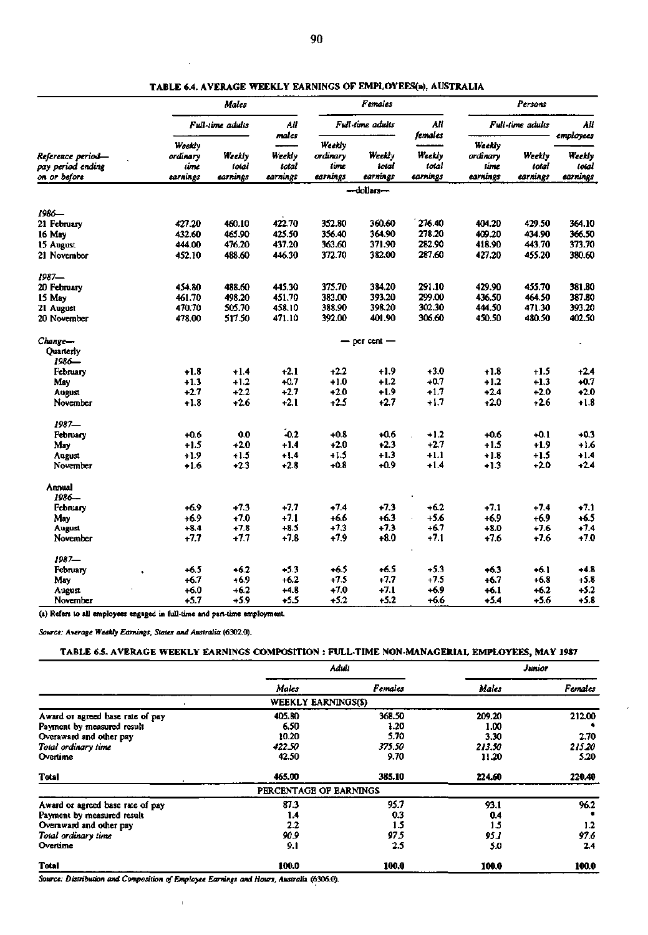|                                                        |                                        | Maies                       |                             |                                        | <b>Females</b>              |                                        | Persons                                |                             |                                          |  |
|--------------------------------------------------------|----------------------------------------|-----------------------------|-----------------------------|----------------------------------------|-----------------------------|----------------------------------------|----------------------------------------|-----------------------------|------------------------------------------|--|
|                                                        |                                        | Full-time adults            | All<br>males                |                                        | Full-time adults            | All                                    |                                        | Full-time adults            | Ail                                      |  |
| Reference period—<br>pay period ending<br>on or before | Weekly<br>ordinary<br>time<br>earnings | Weekly<br>total<br>earnings | Weekly<br>total<br>earnines | Weekly<br>ordinary<br>time<br>earnines | Weekly<br>total<br>earnings | females<br>Weekly<br>total<br>earnings | Weekly<br>ordinarv<br>lime<br>earnings | Weekly<br>total<br>carnings | employees<br>Weekly<br>total<br>earnings |  |
|                                                        |                                        |                             |                             |                                        | -dollars-                   |                                        |                                        |                             |                                          |  |
| 1986—                                                  |                                        |                             |                             |                                        |                             |                                        |                                        |                             |                                          |  |
| 21 February                                            | 427.20                                 | 460.10                      | 422.70                      | 352.80                                 | 360.60                      | 276.40                                 | 404.20                                 | 429.50                      | 364.10                                   |  |
| 16 May                                                 | 432.60                                 | 465.90                      | 425.50                      | 356.40                                 | 364.90                      | 278.20                                 | 409.20                                 | 434.90                      | 366.50                                   |  |
| 15 August                                              | 444.00                                 | 476.20                      | 437.20                      | 363.60                                 | 371.90                      | 282.90                                 | 418.90                                 | 443.70                      | 373.70                                   |  |
| 21 November                                            | 452.10                                 | 488.60                      | 446.30                      | 372.70                                 | 382.00                      | 287.60                                 | 427.20                                 | 455.20                      | 380.60                                   |  |
| 1987—                                                  |                                        |                             |                             |                                        |                             |                                        |                                        |                             |                                          |  |
| 20 February                                            | 454.80                                 | 488.60                      | 445.30                      | 375.70                                 | 384.20                      | 291.10                                 | 429.90                                 | 455.70                      | 381.80                                   |  |
| 15 May                                                 | 461.70                                 | 498.20                      | 451.70                      | 383.00                                 | 393.20                      | 299.00                                 | 436.50                                 | 464.50                      | 387.80                                   |  |
| 21 August                                              | 470.70                                 | 505.70                      | 458.10                      | 388.90                                 | 398.20                      | 302.30                                 | 444.50                                 | 471.30                      | 393.20                                   |  |
| 20 November                                            | 478.00                                 | 517.50                      | 471.10                      | 392.00                                 | 401.90                      | 306.60                                 | 450.50                                 | 480.50                      | 402.50                                   |  |
| Change-                                                |                                        |                             |                             |                                        | $-$ per cent $-$            |                                        |                                        |                             |                                          |  |
| Quarterly                                              |                                        |                             |                             |                                        |                             |                                        |                                        |                             |                                          |  |
| 1986—                                                  |                                        |                             |                             |                                        |                             |                                        |                                        |                             |                                          |  |
| February                                               | $+1.8$                                 | $+1.4$                      | $+2.1$                      | $+2.2$                                 | +1.9                        | $+3.0$                                 | $+1.8$                                 | +1.5                        | $+2.4$                                   |  |
| May                                                    | $+1.3$                                 | $+1.2$                      | $+0.7$                      | $+1.0$                                 | +1.2                        | $+0.7$                                 | $+1.2$                                 | $+1.3$                      | $+0.7$                                   |  |
| August                                                 | $+2.7$                                 | $+2.2$                      | $+2.7$                      | $+2.0$                                 | +1.9                        | $+1.7$                                 | $+2.4$                                 | $+2.0$                      | $+2.0$                                   |  |
| November                                               | $+1.8$                                 | $+2.6$                      | $+2.1$                      | $+2.5$                                 | $+2.7$                      | $+1.7$                                 | $+2.0$                                 | +2.6                        | $+1.8$                                   |  |
| $1987 -$                                               |                                        |                             |                             |                                        |                             |                                        |                                        |                             |                                          |  |
| February                                               | $+0.6$                                 | 0.0                         | $-0.2$                      | $+0.8$                                 | +0.6                        | $+1.2$                                 | +0.6                                   | $+0.1$                      | $+0.3$                                   |  |
| May                                                    | $+1.5$                                 | $+2.0$                      | $+1.4$                      | $+2.0$                                 | $+2.3$                      | $+2.7$                                 | +1.5                                   | +1.9                        | +1.6                                     |  |
| August                                                 | $+1.9$                                 | $+1.5$                      | $+1.4$                      | $+1.5$                                 | $+1.3$                      | +1.1                                   | +1.8                                   | +1.5                        | $+1.4$                                   |  |
| November                                               | $+1.6$                                 | $+2.3$                      | $+2.8$                      | $+0.8$                                 | +0.9                        | $+1.4$                                 | $+1.3$                                 | +2.0                        | $+2.4$                                   |  |
| Annual                                                 |                                        |                             |                             |                                        |                             |                                        |                                        |                             |                                          |  |
| 1986—                                                  |                                        |                             |                             |                                        |                             |                                        |                                        |                             |                                          |  |
| February                                               | $+6.9$                                 | $+7.3$                      | $+7.7$                      | $+7.4$                                 | $+7.3$                      | $+6.2$                                 | $+7.1$                                 | $+7.4$                      | $+7.1$                                   |  |
| May                                                    | $+6.9$                                 | $+7.0$                      | $+7.1$                      | +6.6                                   | +6.3                        | $+5.6$                                 | $+6.9$                                 | +6.9                        | $+6.5$                                   |  |
| August                                                 | $+8.4$                                 | $+7.8$                      | $+8.5$                      | $+7.3$                                 | $+7.3$                      | +6.7                                   | $+8.0$                                 | $+7.6$                      | $+7.4$                                   |  |
| November                                               | $+7.7$                                 | $+7.7$                      | $+7.8$                      | $+7.9$                                 | $+8.0$                      | $+7.1$                                 | $+7.6$                                 | $+7.6$                      | $+7.0$                                   |  |
| $1987 -$                                               |                                        |                             |                             |                                        |                             |                                        |                                        |                             |                                          |  |
| February                                               | $+6.5$<br>$\ddot{\phantom{a}}$         | $+6.2$                      | $+5.3$                      | $+6.5$                                 | $+6.5$                      | $+5.3$                                 | $+6.3$                                 | +6.1                        | $+4.8$                                   |  |
| May                                                    | $+6.7$                                 | $+6.9$                      | $+6.2$                      | $+7.5$                                 | $+7.7$                      | $+7.5$                                 | +6.7                                   | $+6.8$                      | $+5.8$                                   |  |
| August                                                 | $+6.0$                                 | $+6.2$                      | $+4.8$                      | $+7.0$                                 | $+7.1$                      | $+6.9$                                 | +6.1                                   | $+6.2$                      | $+5.2$                                   |  |
| November                                               | $+5.7$                                 | +5.9                        | $+5.5$                      | $+5.2$                                 | $+5.2$                      | +6.6                                   | $+5.4$                                 | +5.6                        | $+5.8$                                   |  |

**TABLE 6.4. AVERAGE WEEKLY EARNINGS OF EMPLOYEES(a), AUSTRALIA** 

**(a) Refers to all employees engaged in full-time and part-time employment** 

*Source: Average Weekly Earnings, States and Australia* **(6302.0).** 

# **TABLE** 6.5. AVERAGE WEEKLY EARNINGS COMPOSITION : *:* FULL-TIME NON-MANAGERIAL EMPLOYEES, **MAY 1987**

|                                  |                            | Adult   | Junior       |                |  |
|----------------------------------|----------------------------|---------|--------------|----------------|--|
|                                  | Males                      | Females | <b>Males</b> | <b>Females</b> |  |
|                                  | <b>WEEKLY EARNINGS(\$)</b> |         |              |                |  |
| Award or agreed base rate of pay | 405.80                     | 368.50  | 209.20       | 212.00         |  |
| Payment by measured result       | 6.50                       | 1.20    | 1.00         |                |  |
| Overaward and other pay          | 10.20                      | 5.70    | 3.30         | 2.70           |  |
| Total ordinary time              | 422.50                     | 375.50  | 213.50       | 215.20         |  |
| Overtime                         | 42.50                      | 9.70    | 11.20        | 5.20           |  |
| Total                            | 465.00                     | 385.10  | 224.60       | 220.40         |  |
|                                  | PERCENTAGE OF EARNINGS     |         |              |                |  |
| Award or agreed base rate of pay | 87.3                       | 95.7    | 93.1         | 96.2           |  |
| Payment by measured result       | 1.4                        | 0.3     | 0.4          |                |  |
| Overaward and other pay          | 2.2                        | 1.5     | 1.5          | $1.2$          |  |
| Total ordinary time              | 90.9                       | 97.5    | 95.I         | 97.6           |  |
| Overtime                         | 9.1                        | 2.5     | 5.0          | 2.4            |  |
| <b>Total</b>                     | 100.0                      | 100.0   | 100.0        | 100.0          |  |

*Source: Distribution and Composition of Employee Earnings and Hours, Australia* **(6306.0).**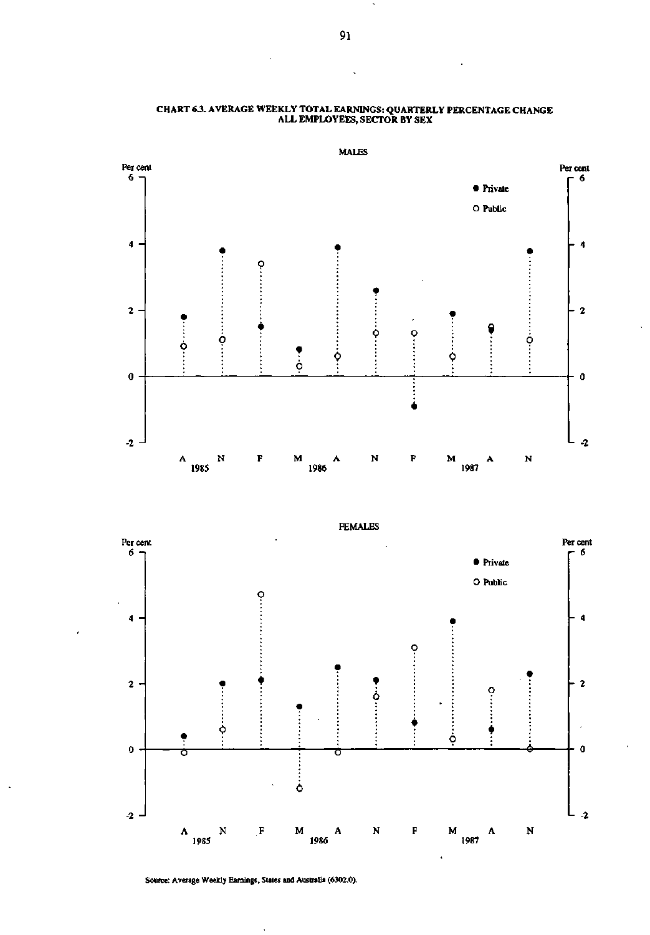

#### **CHART 6.3. AVERAGE WEEKLY TOTAL EARNINGS: QUARTERLY PERCENTAGE CHANGE ALL EMPLOYEES, SECTOR BY SEX**



**MALES** 

Source: Average Weekly Earnings, States and Australia (6302.0).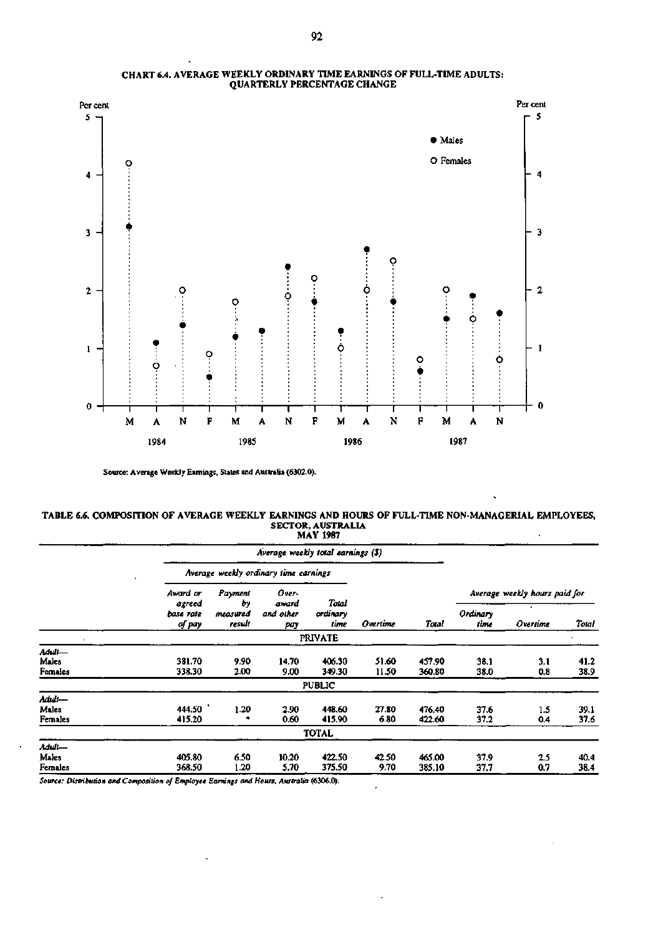

#### **CHART 6.4. AVERAGE WEEKLY ORDINARY TIME EARNINGS OF FULL-TIME ADULTS: QUARTERLY PERCENTAGE CHANGE**

**Source: Average Weekly Earnings, States and Australia (6302.0).** 

#### **TABLE 6.6. COMPOSITION OF AVERAGE WEEKLY EARNINGS AND HOURS OF FULL-TIME NON-MANAGERIAL EMPLOYEES, SECTOR, AUSTRALIA MAY 1987**

|                |                     |                         | Average weekly total earnings (\$)    |                  |          |                               |                  |          |       |
|----------------|---------------------|-------------------------|---------------------------------------|------------------|----------|-------------------------------|------------------|----------|-------|
|                |                     |                         | Average weekly ordinary time earnings |                  |          |                               |                  |          |       |
|                | Award or            | Payment<br>Ъγ<br>agreed | Over-<br>Total<br>award               |                  |          | Average weekly hours paid for |                  |          |       |
|                | base rate<br>of pay | measured<br>result      | and other<br>pay                      | ordinary<br>time | Overtime | Total                         | Ordinary<br>time | Overtime | Total |
|                |                     |                         |                                       | <b>PRIVATE</b>   |          |                               |                  |          |       |
| Adult—         |                     |                         |                                       |                  |          |                               |                  |          |       |
| Males          | 381.70              | 9.90                    | 14.70                                 | 406.30           | 51.60    | 457.90                        | 38.1             | 3.1      | 41.2  |
| <b>Females</b> | 338.30              | 2.00                    | 9.00                                  | 349.30           | 11.50    | 360.80                        | 38.0             | 0.8      | 38.9  |
|                |                     |                         |                                       | <b>PUBLIC</b>    |          |                               |                  |          |       |
| Aduli—         |                     |                         |                                       |                  |          |                               |                  |          |       |
| Males          | 444.50              | 1.20                    | 2.90                                  | 448.60           | 27.80    | 476.40                        | 37.6             | 1.5      | 39.1  |
| Females        | 415.20              |                         | 0.60                                  | 415.90           | 6.80     | 422.60                        | 37.2             | 0.4      | 37.6  |
|                |                     |                         |                                       | <b>TOTAL</b>     |          |                               |                  |          |       |
| Adult—         |                     |                         |                                       |                  |          |                               |                  |          |       |
| Males          | 405.80              | 6.50                    | 10.20                                 | 422.50           | 42.50    | 465.00                        | 37.9             | 2.5      | 40.4  |
| Females        | 368.50              | 1.20                    | 5.70                                  | 375.50           | 9.70     | 385.10                        | 37.7             | 0.7      | 38.4  |

 $\ddot{\phantom{0}}$ 

*Source: Distribution and Composition of Employee Earnings and Hours, Australia* **(6306.0).** 

 $\ddot{\phantom{0}}$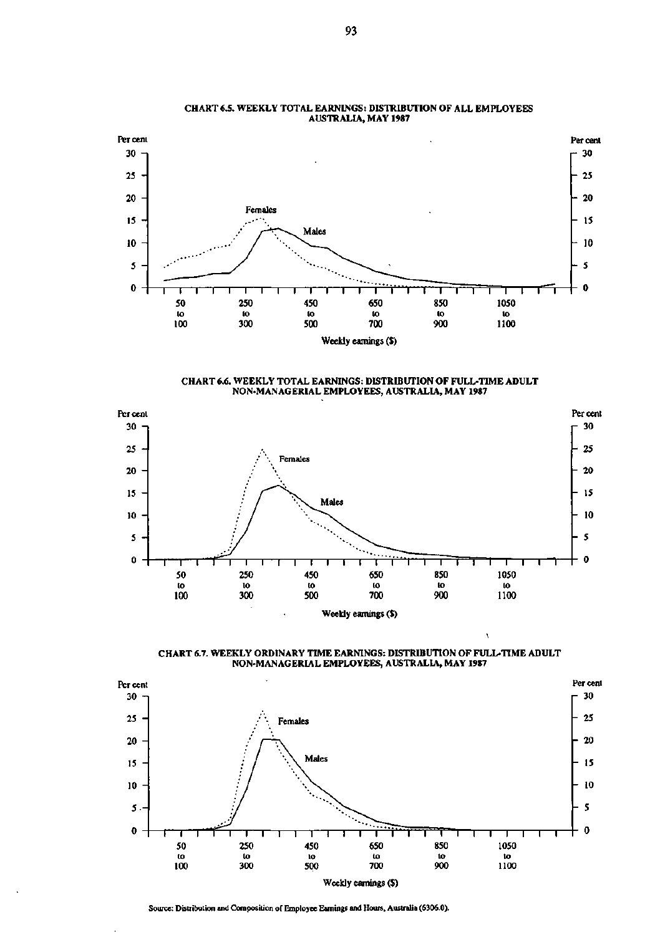

#### **CHART 6.5. WEEKLY TOTAL EARNINGS: DISTRIBUTION OF ALL EMPLOYEES AUSTRALIA, MAY 1987**

**CHART 6.6. WEEKLY TOTAL EARNINGS: DISTRIBUTION OF FULL-TIME ADULT NON-MANAGERIAL EMPLOYEES, AUSTRALIA, MAY 1987** 





À.



**Source: Distribution and Composition of Employee Earnings and Hours, Australia (6306.0).**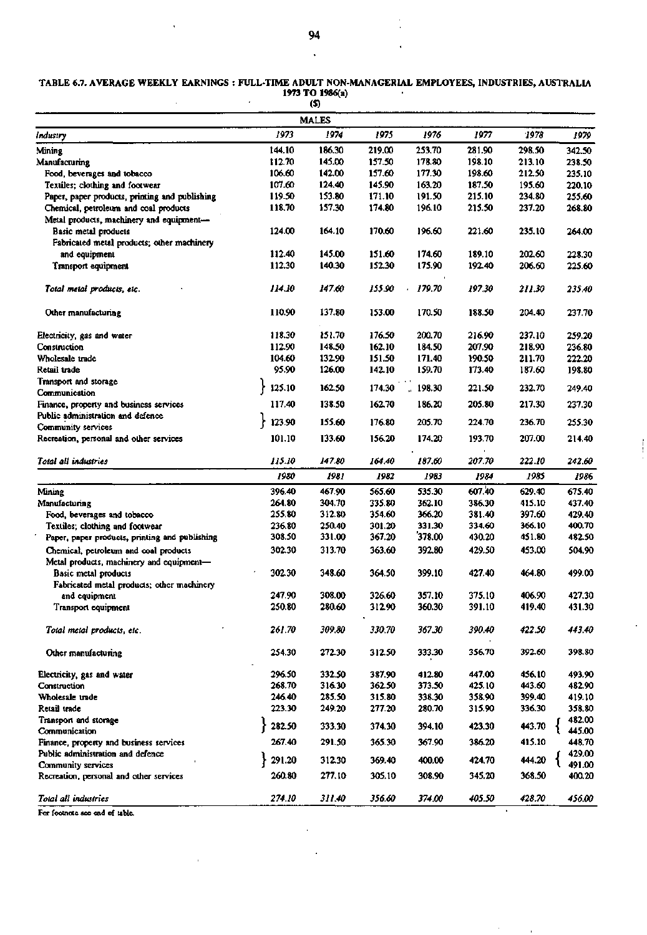#### **TABLE 6.7. AVERAGE WEEKLY EARNINGS FULL-TIME ADULT NON-MANAGERIAL** EMPLOYEES, INDUSTRIES, AUSTRALIA **1973 TO 1986(a)**

|                                                |        | W,           |        |              |        |        |        |
|------------------------------------------------|--------|--------------|--------|--------------|--------|--------|--------|
|                                                |        | <b>MALES</b> |        |              |        |        |        |
| Industry                                       | 1973   | 1974         | 1975   | 1976         | 1977   | 1978   | 1979   |
| Mining                                         | 144.10 | 186.30       | 219.00 | 253.70       | 281.90 | 298.50 | 342.50 |
| Manufacturing                                  | 112.70 | 145.00       | 157.50 | 178.80       | 198.10 | 213.10 | 238.50 |
| Food, beverages and tobacco                    | 106.60 | 142.00       | 157.60 | 177.30       | 198.60 | 212.50 | 235.10 |
| Textiles; clothing and footwear                | 107.60 | 124.40       | 145.90 | 163.20       | 187.50 | 195.60 | 220.10 |
| Paper, paper products, printing and publishing | 119.50 | 153.80       | 171.10 | 191.50       | 215.10 | 234.80 | 255.60 |
| Chemical, petroleum and coal products          | 118.70 | 157.30       | 174.80 | 196.10       | 215.50 | 237.20 | 268.80 |
| Metal products, machinery and equipment-       |        |              |        |              |        |        |        |
| Basic metal products                           | 124.00 | 164.10       | 170.60 | 196.60       | 221.60 | 235.10 | 264.00 |
| Fabricated metal products; other machinery     |        |              |        |              |        |        |        |
| and equipment                                  | 112.40 | 145.00       | 151.60 | 174.60       | 189.10 | 202.60 | 228.30 |
| Transport equipment                            | 112.30 | 140.30       | 152.30 | 175.90       | 192.40 | 206.60 | 225.60 |
|                                                |        |              |        |              |        |        |        |
| Total metal products, etc.                     | 114.10 | 147.60       | 155.90 | 179.70<br>k, | 197.30 | 211.30 | 235.40 |
| Other manufacturing                            | 110.90 | 137.80       | 153.00 | 170.50       | 188.50 | 204.40 | 237.70 |
| Electricity, gas and water                     | 118.30 | 151.70       | 176.50 | 200.70       | 216.90 | 237.10 | 259.20 |
| Construction                                   | 112.90 | 148.50       | 162.10 | 184.50       | 207.90 | 218.90 | 236.80 |
| Wholesale trade                                | 104.60 | 132.90       | 151.50 | 171.40       | 190.50 | 211.70 | 222.20 |
| Retail trade                                   | 95.90  | 126.00       | 142.10 | 159.70       | 173.40 | 187.60 | 198.80 |
| Transport and storage                          |        |              |        |              |        |        |        |
| Communication                                  | 125.10 | 162.50       | 174.30 | 198.30       | 221.50 | 232.70 | 249.40 |
| Finance, property and business services        | 117.40 | 138.50       | 162.70 | 186.20       | 205.80 | 217.30 | 237.30 |
| Public administration and defence              | 123.90 | 155.60       | 176.80 | 205.70       | 224.70 | 236.70 | 255.30 |
| Community services                             |        |              |        |              |        |        |        |
| Recreation, personal and other services        | 101.10 | 133.60       | 156.20 | 174.20       | 193.70 | 207.00 | 214.40 |
| Total all industries                           | 115.10 | 147.80       | 164.40 | 187.60       | 207.70 | 222.10 | 242.60 |
|                                                | 1980   | 1981         | 1982   | 1983         | 1984   | 1985   | 1986   |
| Mining                                         | 396.40 | 467.90       | 565.60 | 535.30       | 607.40 | 629.40 | 675.40 |
| Manufacturing                                  | 264.80 | 304.70       | 335.80 | 362.10       | 386.30 | 415.10 | 437.40 |
| Food, beverages and tobacco                    | 255.80 | 312.80       | 354.60 | 366.20       | 381.40 | 397.60 | 429.40 |
| Textiles; clothing and footwear                | 236.80 | 250.40       | 301.20 | 331.30       | 334.60 | 366.10 | 400.70 |
| Paper, paper products, printing and publishing | 308.50 | 331.00       | 367.20 | 378.00       | 430.20 | 451.80 | 482.50 |
| Chemical, petroleum and coal products          | 302.30 | 313.70       | 363.60 | 392.80       | 429.50 | 453.00 | 504.90 |
| Metal products, machinery and equipment-       |        |              |        |              |        |        |        |
| <b>Basic metal products</b>                    | 302.30 | 348.60       | 364.50 | 399.10       | 427.40 | 464.80 | 499.00 |
| Fabricated metal products; other machinery     |        |              |        |              |        |        |        |
| and equipment                                  | 247.90 | 308.00       | 326.60 | 357.10       | 375.10 | 406.90 | 427.30 |
|                                                | 250.80 | 280.60       |        |              |        |        |        |
| Transport equipment                            |        |              | 312.90 | 360.30       | 391.10 | 419.40 | 431.30 |
| Total metal products, etc.                     | 261.70 | 309.80       | 330.70 | 367.30       | 390.40 | 422.50 | 443.40 |
| Other manufacturing                            | 254.30 | 272.30       | 312.50 | 333.30       | 356.70 | 392.60 | 398.80 |
| Electricity, gas and water                     | 296.50 | 332.50       | 387.90 | 412.80       | 447.00 | 456.10 | 493.90 |
| <b>Construction</b>                            | 268.70 | 316.30       | 362.50 | 373.50       | 425.10 | 443.60 | 482.90 |
| Wholesale trade                                | 246.40 | 285.50       | 315.80 | 338.30       | 358.90 | 399.40 | 419.10 |
| Retail trade                                   | 223.30 | 249.20       | 277.20 | 280.70       | 315.90 | 336.30 | 358.80 |
| Transport and storage                          |        |              |        |              |        |        | 482.00 |
| Communication                                  | 282.50 | 333.30       | 374.30 | 394.10       | 423.30 | 443.70 | 445.00 |
| Finance, property and business services        | 267.40 | 291.50       | 365.30 | 367.90       | 386.20 | 415.10 | 448.70 |
| Public administration and defence              |        |              |        |              |        |        | 429.00 |
| Community services                             | 291.20 | 312.30       | 369.40 | 400.00       | 424.70 | 444.20 | 491.00 |
| Recreation, personal and other services        | 260.80 | 277.10       | 305.10 | 308.90       | 345.20 | 368.50 | 400.20 |
|                                                |        |              |        |              |        |        |        |
| Total all industries                           | 274.10 | 311.40       | 356.60 | 374.00       | 405.50 | 428.70 | 456.00 |

 $\frac{1}{2}$ 

 $\sim$ 

 $\bar{\mathbf{r}}$ 

For footnote see end of table.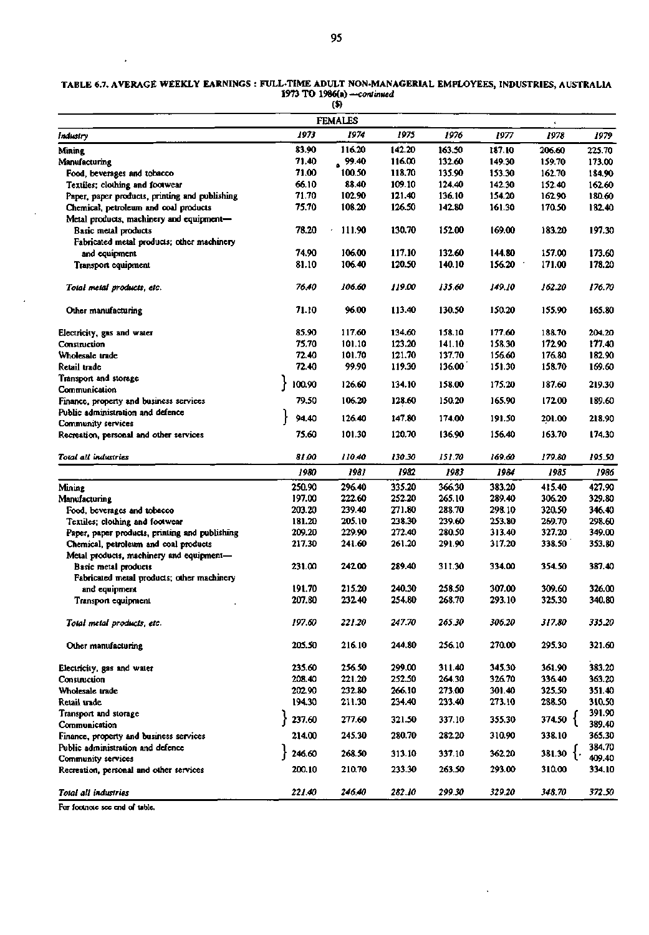| TABLE 6.7. AVERAGE WEEKLY EARNINGS : FULL-TIME ADULT NON-MANAGERIAL EMPLOYEES, INDUSTRIES, AUSTRALIA |  |
|------------------------------------------------------------------------------------------------------|--|
| 1973 TO 1986(a) —continued                                                                           |  |
| O)                                                                                                   |  |

| 1973<br>1974<br>1975<br>1976<br>1977<br>1978<br>1979<br>Industry<br>116.20<br>142.20<br>83.90<br>163.50<br>187.10<br>206.60<br>225.70<br>Mining<br>71.40<br>99.40<br>116.00<br>132.60<br>149.30<br>173.00<br>159.70<br>Manufacturing<br>100.50<br>118.70<br>71.00<br>135.90<br>153.30<br>162.70<br>184.90<br>Food, beverages and tobacco<br>66.10<br>88.40<br>109.10<br>124.40<br>142.30<br>Textiles; clothing and footwear<br>152.40<br>162.60<br>71.70<br>102.90<br>121.40<br>136.10<br>154.20<br>Paper, paper products, printing and publishing<br>162.90<br>180.60<br>75.70<br>126.50<br>108.20<br>142.80<br>161.30<br>170.50<br>Chemical, petroleum and coal products<br>182.40<br>Metal products, machinery and equipment-<br>130.70<br>Basic metal products<br>78.20<br>111.90<br>152.00<br>169.00<br>183.20<br>197.30<br>Fabricated metal products; other machinery<br>117.10<br>74.90<br>106.00<br>132.60<br>144.80<br>157.00<br>173.60<br>and equipment<br>81.10<br>106.40<br>120.50<br>140.10<br>156.20<br>171.00<br>178.20<br>Transport equipment<br>76.40<br>106.60<br>119.00<br>149.10<br>162.20<br>176.70<br>135.60<br>Total metal products, etc.<br>71.10<br>96.00<br>113.40<br>130.50<br>150.20<br>155.90<br>165.80<br>Other manufacturing<br>85.90<br>117.60<br>134.60<br>158.10<br>177.60<br>188.70<br>204.20<br>Electricity, gas and water<br>75.70<br>101.10<br>123.20<br>141.10<br>158.30<br>172.90<br>177.40<br>Construction<br>101.70<br>121.70<br>137.70<br>156.60<br>72.40<br>176.80<br>182.90<br>Wholesale trade<br>72.40<br>99.90<br>119.30<br>136.00<br>151.30<br>158.70<br>169.60<br>Retail trade<br>Transport and storage<br>100.90<br>126.60<br>134.10<br>175.20<br>187.60<br>158.00<br>219.30<br>Communication<br>79.50<br>106.20<br>172.00<br>189.60<br>128.60<br>150.20<br>165.90<br>Finance, property and business services<br>Public administration and defence<br>94.40<br>126.40<br>147.80<br>174.00<br>218.90<br>191.50<br>201.00<br>Community services<br>75.60<br>101.30<br>120.70<br>136.90<br>156.40<br>163.70<br>174.30<br>Recreation, personal and other services<br>Total all industries<br>81.00<br>110.40<br>130.30<br>151.70<br>169.60<br>179.80<br>195.50<br>1981<br>1982<br>1983<br>1984<br>1980<br>1985<br>1986<br>366.30<br>250.90<br>296.40<br>335.20<br>383.20<br>415.40<br>427.90<br>Mining<br>197.00<br>222.60<br>252.20<br>265.10<br>289.40<br>306.20<br>329.80<br>Manufacturing<br>239.40<br>271.80<br>288.70<br>298.10<br>203.20<br>320.50<br>346.40<br>Food, beverages and tobacco<br>205.10<br>238.30<br>239.60<br>253.80<br>269.70<br>298.60<br>Textiles; clothing and footwear<br>181.20<br>229.90<br>272.40<br>209.20<br>280.50<br>313.40<br>327.20<br>349.00<br>Paper, paper products, printing and publishing<br>317.20<br>217.30<br>241.60<br>261.20<br>338.50<br>353.80<br>Chemical, petroleum and coal products<br>291.90<br>Metal products, machinery and equipment-<br>289.40<br>231.00<br>242.00<br>311.30<br>334.00<br>354.50<br>387.40<br>Basic metal products<br>Fabricated metal products; other machinery<br>191.70<br>215.20<br>240.30<br>258.50<br>307.00<br>309.60<br>326.00<br>and equipment<br>232.40<br>293.10<br>325.30<br>340.80<br>207.80<br>254.80<br>268.70<br>Transport equipment<br>197.60<br>221.20<br>247.70<br>265.30<br>306.20<br>317.80<br>335.20<br>Total metal products, etc.<br>205.50<br>216.10<br>244.80<br>256.10<br>270.00<br>295.30<br>321.60<br>Other manufacturing<br>383.20<br>235.60<br>256.50<br>299.00<br>311.40<br>345.30<br>361.90<br>Electricity, gas and water<br>208.40<br>221.20<br>252.50<br>264.30<br>326.70<br>336.40<br>363.20<br>Construction<br>202.90<br>232.80<br>266.10<br>301.40<br>325.50<br>273.00<br>351.40<br>Wholesale trade<br>194.30<br>211.30<br>234.40<br>233.40<br>273.10<br>288.50<br>310.50<br>Retail trade<br>391.90<br>Transport and storage<br>237.60<br>374.50 {<br>277.60<br>321.50<br>337.10<br>355.30<br>389.40<br>Communication<br>214.00<br>245.30<br>280.70<br>282.20<br>310.90<br>338.10<br>365.30<br>Finance, property and business services<br>384.70<br>Public administration and defence<br>246.60<br>$381.30 \frac{1}{2}$<br>268.50<br>313.10<br>337.10<br>362.20<br>409.40<br>Community services<br>233.30<br>293.00<br>200.10<br>210.70<br>263.50<br>310.00<br>334.10<br>Recreation, personal and other services<br>221.40<br>246.40<br>282.10<br>299.30<br>329.20<br>348.70<br>372.50<br>Total all industries |  | <b>FEMALES</b> |  | $\bullet$ |  |
|-----------------------------------------------------------------------------------------------------------------------------------------------------------------------------------------------------------------------------------------------------------------------------------------------------------------------------------------------------------------------------------------------------------------------------------------------------------------------------------------------------------------------------------------------------------------------------------------------------------------------------------------------------------------------------------------------------------------------------------------------------------------------------------------------------------------------------------------------------------------------------------------------------------------------------------------------------------------------------------------------------------------------------------------------------------------------------------------------------------------------------------------------------------------------------------------------------------------------------------------------------------------------------------------------------------------------------------------------------------------------------------------------------------------------------------------------------------------------------------------------------------------------------------------------------------------------------------------------------------------------------------------------------------------------------------------------------------------------------------------------------------------------------------------------------------------------------------------------------------------------------------------------------------------------------------------------------------------------------------------------------------------------------------------------------------------------------------------------------------------------------------------------------------------------------------------------------------------------------------------------------------------------------------------------------------------------------------------------------------------------------------------------------------------------------------------------------------------------------------------------------------------------------------------------------------------------------------------------------------------------------------------------------------------------------------------------------------------------------------------------------------------------------------------------------------------------------------------------------------------------------------------------------------------------------------------------------------------------------------------------------------------------------------------------------------------------------------------------------------------------------------------------------------------------------------------------------------------------------------------------------------------------------------------------------------------------------------------------------------------------------------------------------------------------------------------------------------------------------------------------------------------------------------------------------------------------------------------------------------------------------------------------------------------------------------------------------------------------------------------------------------------------------------------------------------------------------------------------------------------------------------------------------------------------------------------------------------------------------------------------------------------------------------------------------------------------------------------------------------------------------------------------------------------------------------------------------------------------------------------------------------------------------------------------------------------------------------------------------------------------------------------------------------------------------------------------------------------------------|--|----------------|--|-----------|--|
|                                                                                                                                                                                                                                                                                                                                                                                                                                                                                                                                                                                                                                                                                                                                                                                                                                                                                                                                                                                                                                                                                                                                                                                                                                                                                                                                                                                                                                                                                                                                                                                                                                                                                                                                                                                                                                                                                                                                                                                                                                                                                                                                                                                                                                                                                                                                                                                                                                                                                                                                                                                                                                                                                                                                                                                                                                                                                                                                                                                                                                                                                                                                                                                                                                                                                                                                                                                                                                                                                                                                                                                                                                                                                                                                                                                                                                                                                                                                                                                                                                                                                                                                                                                                                                                                                                                                                                                                                                                                             |  |                |  |           |  |
|                                                                                                                                                                                                                                                                                                                                                                                                                                                                                                                                                                                                                                                                                                                                                                                                                                                                                                                                                                                                                                                                                                                                                                                                                                                                                                                                                                                                                                                                                                                                                                                                                                                                                                                                                                                                                                                                                                                                                                                                                                                                                                                                                                                                                                                                                                                                                                                                                                                                                                                                                                                                                                                                                                                                                                                                                                                                                                                                                                                                                                                                                                                                                                                                                                                                                                                                                                                                                                                                                                                                                                                                                                                                                                                                                                                                                                                                                                                                                                                                                                                                                                                                                                                                                                                                                                                                                                                                                                                                             |  |                |  |           |  |
|                                                                                                                                                                                                                                                                                                                                                                                                                                                                                                                                                                                                                                                                                                                                                                                                                                                                                                                                                                                                                                                                                                                                                                                                                                                                                                                                                                                                                                                                                                                                                                                                                                                                                                                                                                                                                                                                                                                                                                                                                                                                                                                                                                                                                                                                                                                                                                                                                                                                                                                                                                                                                                                                                                                                                                                                                                                                                                                                                                                                                                                                                                                                                                                                                                                                                                                                                                                                                                                                                                                                                                                                                                                                                                                                                                                                                                                                                                                                                                                                                                                                                                                                                                                                                                                                                                                                                                                                                                                                             |  |                |  |           |  |
|                                                                                                                                                                                                                                                                                                                                                                                                                                                                                                                                                                                                                                                                                                                                                                                                                                                                                                                                                                                                                                                                                                                                                                                                                                                                                                                                                                                                                                                                                                                                                                                                                                                                                                                                                                                                                                                                                                                                                                                                                                                                                                                                                                                                                                                                                                                                                                                                                                                                                                                                                                                                                                                                                                                                                                                                                                                                                                                                                                                                                                                                                                                                                                                                                                                                                                                                                                                                                                                                                                                                                                                                                                                                                                                                                                                                                                                                                                                                                                                                                                                                                                                                                                                                                                                                                                                                                                                                                                                                             |  |                |  |           |  |
|                                                                                                                                                                                                                                                                                                                                                                                                                                                                                                                                                                                                                                                                                                                                                                                                                                                                                                                                                                                                                                                                                                                                                                                                                                                                                                                                                                                                                                                                                                                                                                                                                                                                                                                                                                                                                                                                                                                                                                                                                                                                                                                                                                                                                                                                                                                                                                                                                                                                                                                                                                                                                                                                                                                                                                                                                                                                                                                                                                                                                                                                                                                                                                                                                                                                                                                                                                                                                                                                                                                                                                                                                                                                                                                                                                                                                                                                                                                                                                                                                                                                                                                                                                                                                                                                                                                                                                                                                                                                             |  |                |  |           |  |
|                                                                                                                                                                                                                                                                                                                                                                                                                                                                                                                                                                                                                                                                                                                                                                                                                                                                                                                                                                                                                                                                                                                                                                                                                                                                                                                                                                                                                                                                                                                                                                                                                                                                                                                                                                                                                                                                                                                                                                                                                                                                                                                                                                                                                                                                                                                                                                                                                                                                                                                                                                                                                                                                                                                                                                                                                                                                                                                                                                                                                                                                                                                                                                                                                                                                                                                                                                                                                                                                                                                                                                                                                                                                                                                                                                                                                                                                                                                                                                                                                                                                                                                                                                                                                                                                                                                                                                                                                                                                             |  |                |  |           |  |
|                                                                                                                                                                                                                                                                                                                                                                                                                                                                                                                                                                                                                                                                                                                                                                                                                                                                                                                                                                                                                                                                                                                                                                                                                                                                                                                                                                                                                                                                                                                                                                                                                                                                                                                                                                                                                                                                                                                                                                                                                                                                                                                                                                                                                                                                                                                                                                                                                                                                                                                                                                                                                                                                                                                                                                                                                                                                                                                                                                                                                                                                                                                                                                                                                                                                                                                                                                                                                                                                                                                                                                                                                                                                                                                                                                                                                                                                                                                                                                                                                                                                                                                                                                                                                                                                                                                                                                                                                                                                             |  |                |  |           |  |
|                                                                                                                                                                                                                                                                                                                                                                                                                                                                                                                                                                                                                                                                                                                                                                                                                                                                                                                                                                                                                                                                                                                                                                                                                                                                                                                                                                                                                                                                                                                                                                                                                                                                                                                                                                                                                                                                                                                                                                                                                                                                                                                                                                                                                                                                                                                                                                                                                                                                                                                                                                                                                                                                                                                                                                                                                                                                                                                                                                                                                                                                                                                                                                                                                                                                                                                                                                                                                                                                                                                                                                                                                                                                                                                                                                                                                                                                                                                                                                                                                                                                                                                                                                                                                                                                                                                                                                                                                                                                             |  |                |  |           |  |
|                                                                                                                                                                                                                                                                                                                                                                                                                                                                                                                                                                                                                                                                                                                                                                                                                                                                                                                                                                                                                                                                                                                                                                                                                                                                                                                                                                                                                                                                                                                                                                                                                                                                                                                                                                                                                                                                                                                                                                                                                                                                                                                                                                                                                                                                                                                                                                                                                                                                                                                                                                                                                                                                                                                                                                                                                                                                                                                                                                                                                                                                                                                                                                                                                                                                                                                                                                                                                                                                                                                                                                                                                                                                                                                                                                                                                                                                                                                                                                                                                                                                                                                                                                                                                                                                                                                                                                                                                                                                             |  |                |  |           |  |
|                                                                                                                                                                                                                                                                                                                                                                                                                                                                                                                                                                                                                                                                                                                                                                                                                                                                                                                                                                                                                                                                                                                                                                                                                                                                                                                                                                                                                                                                                                                                                                                                                                                                                                                                                                                                                                                                                                                                                                                                                                                                                                                                                                                                                                                                                                                                                                                                                                                                                                                                                                                                                                                                                                                                                                                                                                                                                                                                                                                                                                                                                                                                                                                                                                                                                                                                                                                                                                                                                                                                                                                                                                                                                                                                                                                                                                                                                                                                                                                                                                                                                                                                                                                                                                                                                                                                                                                                                                                                             |  |                |  |           |  |
|                                                                                                                                                                                                                                                                                                                                                                                                                                                                                                                                                                                                                                                                                                                                                                                                                                                                                                                                                                                                                                                                                                                                                                                                                                                                                                                                                                                                                                                                                                                                                                                                                                                                                                                                                                                                                                                                                                                                                                                                                                                                                                                                                                                                                                                                                                                                                                                                                                                                                                                                                                                                                                                                                                                                                                                                                                                                                                                                                                                                                                                                                                                                                                                                                                                                                                                                                                                                                                                                                                                                                                                                                                                                                                                                                                                                                                                                                                                                                                                                                                                                                                                                                                                                                                                                                                                                                                                                                                                                             |  |                |  |           |  |
|                                                                                                                                                                                                                                                                                                                                                                                                                                                                                                                                                                                                                                                                                                                                                                                                                                                                                                                                                                                                                                                                                                                                                                                                                                                                                                                                                                                                                                                                                                                                                                                                                                                                                                                                                                                                                                                                                                                                                                                                                                                                                                                                                                                                                                                                                                                                                                                                                                                                                                                                                                                                                                                                                                                                                                                                                                                                                                                                                                                                                                                                                                                                                                                                                                                                                                                                                                                                                                                                                                                                                                                                                                                                                                                                                                                                                                                                                                                                                                                                                                                                                                                                                                                                                                                                                                                                                                                                                                                                             |  |                |  |           |  |
|                                                                                                                                                                                                                                                                                                                                                                                                                                                                                                                                                                                                                                                                                                                                                                                                                                                                                                                                                                                                                                                                                                                                                                                                                                                                                                                                                                                                                                                                                                                                                                                                                                                                                                                                                                                                                                                                                                                                                                                                                                                                                                                                                                                                                                                                                                                                                                                                                                                                                                                                                                                                                                                                                                                                                                                                                                                                                                                                                                                                                                                                                                                                                                                                                                                                                                                                                                                                                                                                                                                                                                                                                                                                                                                                                                                                                                                                                                                                                                                                                                                                                                                                                                                                                                                                                                                                                                                                                                                                             |  |                |  |           |  |
|                                                                                                                                                                                                                                                                                                                                                                                                                                                                                                                                                                                                                                                                                                                                                                                                                                                                                                                                                                                                                                                                                                                                                                                                                                                                                                                                                                                                                                                                                                                                                                                                                                                                                                                                                                                                                                                                                                                                                                                                                                                                                                                                                                                                                                                                                                                                                                                                                                                                                                                                                                                                                                                                                                                                                                                                                                                                                                                                                                                                                                                                                                                                                                                                                                                                                                                                                                                                                                                                                                                                                                                                                                                                                                                                                                                                                                                                                                                                                                                                                                                                                                                                                                                                                                                                                                                                                                                                                                                                             |  |                |  |           |  |
|                                                                                                                                                                                                                                                                                                                                                                                                                                                                                                                                                                                                                                                                                                                                                                                                                                                                                                                                                                                                                                                                                                                                                                                                                                                                                                                                                                                                                                                                                                                                                                                                                                                                                                                                                                                                                                                                                                                                                                                                                                                                                                                                                                                                                                                                                                                                                                                                                                                                                                                                                                                                                                                                                                                                                                                                                                                                                                                                                                                                                                                                                                                                                                                                                                                                                                                                                                                                                                                                                                                                                                                                                                                                                                                                                                                                                                                                                                                                                                                                                                                                                                                                                                                                                                                                                                                                                                                                                                                                             |  |                |  |           |  |
|                                                                                                                                                                                                                                                                                                                                                                                                                                                                                                                                                                                                                                                                                                                                                                                                                                                                                                                                                                                                                                                                                                                                                                                                                                                                                                                                                                                                                                                                                                                                                                                                                                                                                                                                                                                                                                                                                                                                                                                                                                                                                                                                                                                                                                                                                                                                                                                                                                                                                                                                                                                                                                                                                                                                                                                                                                                                                                                                                                                                                                                                                                                                                                                                                                                                                                                                                                                                                                                                                                                                                                                                                                                                                                                                                                                                                                                                                                                                                                                                                                                                                                                                                                                                                                                                                                                                                                                                                                                                             |  |                |  |           |  |
|                                                                                                                                                                                                                                                                                                                                                                                                                                                                                                                                                                                                                                                                                                                                                                                                                                                                                                                                                                                                                                                                                                                                                                                                                                                                                                                                                                                                                                                                                                                                                                                                                                                                                                                                                                                                                                                                                                                                                                                                                                                                                                                                                                                                                                                                                                                                                                                                                                                                                                                                                                                                                                                                                                                                                                                                                                                                                                                                                                                                                                                                                                                                                                                                                                                                                                                                                                                                                                                                                                                                                                                                                                                                                                                                                                                                                                                                                                                                                                                                                                                                                                                                                                                                                                                                                                                                                                                                                                                                             |  |                |  |           |  |
|                                                                                                                                                                                                                                                                                                                                                                                                                                                                                                                                                                                                                                                                                                                                                                                                                                                                                                                                                                                                                                                                                                                                                                                                                                                                                                                                                                                                                                                                                                                                                                                                                                                                                                                                                                                                                                                                                                                                                                                                                                                                                                                                                                                                                                                                                                                                                                                                                                                                                                                                                                                                                                                                                                                                                                                                                                                                                                                                                                                                                                                                                                                                                                                                                                                                                                                                                                                                                                                                                                                                                                                                                                                                                                                                                                                                                                                                                                                                                                                                                                                                                                                                                                                                                                                                                                                                                                                                                                                                             |  |                |  |           |  |
|                                                                                                                                                                                                                                                                                                                                                                                                                                                                                                                                                                                                                                                                                                                                                                                                                                                                                                                                                                                                                                                                                                                                                                                                                                                                                                                                                                                                                                                                                                                                                                                                                                                                                                                                                                                                                                                                                                                                                                                                                                                                                                                                                                                                                                                                                                                                                                                                                                                                                                                                                                                                                                                                                                                                                                                                                                                                                                                                                                                                                                                                                                                                                                                                                                                                                                                                                                                                                                                                                                                                                                                                                                                                                                                                                                                                                                                                                                                                                                                                                                                                                                                                                                                                                                                                                                                                                                                                                                                                             |  |                |  |           |  |
|                                                                                                                                                                                                                                                                                                                                                                                                                                                                                                                                                                                                                                                                                                                                                                                                                                                                                                                                                                                                                                                                                                                                                                                                                                                                                                                                                                                                                                                                                                                                                                                                                                                                                                                                                                                                                                                                                                                                                                                                                                                                                                                                                                                                                                                                                                                                                                                                                                                                                                                                                                                                                                                                                                                                                                                                                                                                                                                                                                                                                                                                                                                                                                                                                                                                                                                                                                                                                                                                                                                                                                                                                                                                                                                                                                                                                                                                                                                                                                                                                                                                                                                                                                                                                                                                                                                                                                                                                                                                             |  |                |  |           |  |
|                                                                                                                                                                                                                                                                                                                                                                                                                                                                                                                                                                                                                                                                                                                                                                                                                                                                                                                                                                                                                                                                                                                                                                                                                                                                                                                                                                                                                                                                                                                                                                                                                                                                                                                                                                                                                                                                                                                                                                                                                                                                                                                                                                                                                                                                                                                                                                                                                                                                                                                                                                                                                                                                                                                                                                                                                                                                                                                                                                                                                                                                                                                                                                                                                                                                                                                                                                                                                                                                                                                                                                                                                                                                                                                                                                                                                                                                                                                                                                                                                                                                                                                                                                                                                                                                                                                                                                                                                                                                             |  |                |  |           |  |
|                                                                                                                                                                                                                                                                                                                                                                                                                                                                                                                                                                                                                                                                                                                                                                                                                                                                                                                                                                                                                                                                                                                                                                                                                                                                                                                                                                                                                                                                                                                                                                                                                                                                                                                                                                                                                                                                                                                                                                                                                                                                                                                                                                                                                                                                                                                                                                                                                                                                                                                                                                                                                                                                                                                                                                                                                                                                                                                                                                                                                                                                                                                                                                                                                                                                                                                                                                                                                                                                                                                                                                                                                                                                                                                                                                                                                                                                                                                                                                                                                                                                                                                                                                                                                                                                                                                                                                                                                                                                             |  |                |  |           |  |
|                                                                                                                                                                                                                                                                                                                                                                                                                                                                                                                                                                                                                                                                                                                                                                                                                                                                                                                                                                                                                                                                                                                                                                                                                                                                                                                                                                                                                                                                                                                                                                                                                                                                                                                                                                                                                                                                                                                                                                                                                                                                                                                                                                                                                                                                                                                                                                                                                                                                                                                                                                                                                                                                                                                                                                                                                                                                                                                                                                                                                                                                                                                                                                                                                                                                                                                                                                                                                                                                                                                                                                                                                                                                                                                                                                                                                                                                                                                                                                                                                                                                                                                                                                                                                                                                                                                                                                                                                                                                             |  |                |  |           |  |
|                                                                                                                                                                                                                                                                                                                                                                                                                                                                                                                                                                                                                                                                                                                                                                                                                                                                                                                                                                                                                                                                                                                                                                                                                                                                                                                                                                                                                                                                                                                                                                                                                                                                                                                                                                                                                                                                                                                                                                                                                                                                                                                                                                                                                                                                                                                                                                                                                                                                                                                                                                                                                                                                                                                                                                                                                                                                                                                                                                                                                                                                                                                                                                                                                                                                                                                                                                                                                                                                                                                                                                                                                                                                                                                                                                                                                                                                                                                                                                                                                                                                                                                                                                                                                                                                                                                                                                                                                                                                             |  |                |  |           |  |
|                                                                                                                                                                                                                                                                                                                                                                                                                                                                                                                                                                                                                                                                                                                                                                                                                                                                                                                                                                                                                                                                                                                                                                                                                                                                                                                                                                                                                                                                                                                                                                                                                                                                                                                                                                                                                                                                                                                                                                                                                                                                                                                                                                                                                                                                                                                                                                                                                                                                                                                                                                                                                                                                                                                                                                                                                                                                                                                                                                                                                                                                                                                                                                                                                                                                                                                                                                                                                                                                                                                                                                                                                                                                                                                                                                                                                                                                                                                                                                                                                                                                                                                                                                                                                                                                                                                                                                                                                                                                             |  |                |  |           |  |
|                                                                                                                                                                                                                                                                                                                                                                                                                                                                                                                                                                                                                                                                                                                                                                                                                                                                                                                                                                                                                                                                                                                                                                                                                                                                                                                                                                                                                                                                                                                                                                                                                                                                                                                                                                                                                                                                                                                                                                                                                                                                                                                                                                                                                                                                                                                                                                                                                                                                                                                                                                                                                                                                                                                                                                                                                                                                                                                                                                                                                                                                                                                                                                                                                                                                                                                                                                                                                                                                                                                                                                                                                                                                                                                                                                                                                                                                                                                                                                                                                                                                                                                                                                                                                                                                                                                                                                                                                                                                             |  |                |  |           |  |
|                                                                                                                                                                                                                                                                                                                                                                                                                                                                                                                                                                                                                                                                                                                                                                                                                                                                                                                                                                                                                                                                                                                                                                                                                                                                                                                                                                                                                                                                                                                                                                                                                                                                                                                                                                                                                                                                                                                                                                                                                                                                                                                                                                                                                                                                                                                                                                                                                                                                                                                                                                                                                                                                                                                                                                                                                                                                                                                                                                                                                                                                                                                                                                                                                                                                                                                                                                                                                                                                                                                                                                                                                                                                                                                                                                                                                                                                                                                                                                                                                                                                                                                                                                                                                                                                                                                                                                                                                                                                             |  |                |  |           |  |
|                                                                                                                                                                                                                                                                                                                                                                                                                                                                                                                                                                                                                                                                                                                                                                                                                                                                                                                                                                                                                                                                                                                                                                                                                                                                                                                                                                                                                                                                                                                                                                                                                                                                                                                                                                                                                                                                                                                                                                                                                                                                                                                                                                                                                                                                                                                                                                                                                                                                                                                                                                                                                                                                                                                                                                                                                                                                                                                                                                                                                                                                                                                                                                                                                                                                                                                                                                                                                                                                                                                                                                                                                                                                                                                                                                                                                                                                                                                                                                                                                                                                                                                                                                                                                                                                                                                                                                                                                                                                             |  |                |  |           |  |
|                                                                                                                                                                                                                                                                                                                                                                                                                                                                                                                                                                                                                                                                                                                                                                                                                                                                                                                                                                                                                                                                                                                                                                                                                                                                                                                                                                                                                                                                                                                                                                                                                                                                                                                                                                                                                                                                                                                                                                                                                                                                                                                                                                                                                                                                                                                                                                                                                                                                                                                                                                                                                                                                                                                                                                                                                                                                                                                                                                                                                                                                                                                                                                                                                                                                                                                                                                                                                                                                                                                                                                                                                                                                                                                                                                                                                                                                                                                                                                                                                                                                                                                                                                                                                                                                                                                                                                                                                                                                             |  |                |  |           |  |
|                                                                                                                                                                                                                                                                                                                                                                                                                                                                                                                                                                                                                                                                                                                                                                                                                                                                                                                                                                                                                                                                                                                                                                                                                                                                                                                                                                                                                                                                                                                                                                                                                                                                                                                                                                                                                                                                                                                                                                                                                                                                                                                                                                                                                                                                                                                                                                                                                                                                                                                                                                                                                                                                                                                                                                                                                                                                                                                                                                                                                                                                                                                                                                                                                                                                                                                                                                                                                                                                                                                                                                                                                                                                                                                                                                                                                                                                                                                                                                                                                                                                                                                                                                                                                                                                                                                                                                                                                                                                             |  |                |  |           |  |
|                                                                                                                                                                                                                                                                                                                                                                                                                                                                                                                                                                                                                                                                                                                                                                                                                                                                                                                                                                                                                                                                                                                                                                                                                                                                                                                                                                                                                                                                                                                                                                                                                                                                                                                                                                                                                                                                                                                                                                                                                                                                                                                                                                                                                                                                                                                                                                                                                                                                                                                                                                                                                                                                                                                                                                                                                                                                                                                                                                                                                                                                                                                                                                                                                                                                                                                                                                                                                                                                                                                                                                                                                                                                                                                                                                                                                                                                                                                                                                                                                                                                                                                                                                                                                                                                                                                                                                                                                                                                             |  |                |  |           |  |
|                                                                                                                                                                                                                                                                                                                                                                                                                                                                                                                                                                                                                                                                                                                                                                                                                                                                                                                                                                                                                                                                                                                                                                                                                                                                                                                                                                                                                                                                                                                                                                                                                                                                                                                                                                                                                                                                                                                                                                                                                                                                                                                                                                                                                                                                                                                                                                                                                                                                                                                                                                                                                                                                                                                                                                                                                                                                                                                                                                                                                                                                                                                                                                                                                                                                                                                                                                                                                                                                                                                                                                                                                                                                                                                                                                                                                                                                                                                                                                                                                                                                                                                                                                                                                                                                                                                                                                                                                                                                             |  |                |  |           |  |
|                                                                                                                                                                                                                                                                                                                                                                                                                                                                                                                                                                                                                                                                                                                                                                                                                                                                                                                                                                                                                                                                                                                                                                                                                                                                                                                                                                                                                                                                                                                                                                                                                                                                                                                                                                                                                                                                                                                                                                                                                                                                                                                                                                                                                                                                                                                                                                                                                                                                                                                                                                                                                                                                                                                                                                                                                                                                                                                                                                                                                                                                                                                                                                                                                                                                                                                                                                                                                                                                                                                                                                                                                                                                                                                                                                                                                                                                                                                                                                                                                                                                                                                                                                                                                                                                                                                                                                                                                                                                             |  |                |  |           |  |
|                                                                                                                                                                                                                                                                                                                                                                                                                                                                                                                                                                                                                                                                                                                                                                                                                                                                                                                                                                                                                                                                                                                                                                                                                                                                                                                                                                                                                                                                                                                                                                                                                                                                                                                                                                                                                                                                                                                                                                                                                                                                                                                                                                                                                                                                                                                                                                                                                                                                                                                                                                                                                                                                                                                                                                                                                                                                                                                                                                                                                                                                                                                                                                                                                                                                                                                                                                                                                                                                                                                                                                                                                                                                                                                                                                                                                                                                                                                                                                                                                                                                                                                                                                                                                                                                                                                                                                                                                                                                             |  |                |  |           |  |
|                                                                                                                                                                                                                                                                                                                                                                                                                                                                                                                                                                                                                                                                                                                                                                                                                                                                                                                                                                                                                                                                                                                                                                                                                                                                                                                                                                                                                                                                                                                                                                                                                                                                                                                                                                                                                                                                                                                                                                                                                                                                                                                                                                                                                                                                                                                                                                                                                                                                                                                                                                                                                                                                                                                                                                                                                                                                                                                                                                                                                                                                                                                                                                                                                                                                                                                                                                                                                                                                                                                                                                                                                                                                                                                                                                                                                                                                                                                                                                                                                                                                                                                                                                                                                                                                                                                                                                                                                                                                             |  |                |  |           |  |
|                                                                                                                                                                                                                                                                                                                                                                                                                                                                                                                                                                                                                                                                                                                                                                                                                                                                                                                                                                                                                                                                                                                                                                                                                                                                                                                                                                                                                                                                                                                                                                                                                                                                                                                                                                                                                                                                                                                                                                                                                                                                                                                                                                                                                                                                                                                                                                                                                                                                                                                                                                                                                                                                                                                                                                                                                                                                                                                                                                                                                                                                                                                                                                                                                                                                                                                                                                                                                                                                                                                                                                                                                                                                                                                                                                                                                                                                                                                                                                                                                                                                                                                                                                                                                                                                                                                                                                                                                                                                             |  |                |  |           |  |
|                                                                                                                                                                                                                                                                                                                                                                                                                                                                                                                                                                                                                                                                                                                                                                                                                                                                                                                                                                                                                                                                                                                                                                                                                                                                                                                                                                                                                                                                                                                                                                                                                                                                                                                                                                                                                                                                                                                                                                                                                                                                                                                                                                                                                                                                                                                                                                                                                                                                                                                                                                                                                                                                                                                                                                                                                                                                                                                                                                                                                                                                                                                                                                                                                                                                                                                                                                                                                                                                                                                                                                                                                                                                                                                                                                                                                                                                                                                                                                                                                                                                                                                                                                                                                                                                                                                                                                                                                                                                             |  |                |  |           |  |
|                                                                                                                                                                                                                                                                                                                                                                                                                                                                                                                                                                                                                                                                                                                                                                                                                                                                                                                                                                                                                                                                                                                                                                                                                                                                                                                                                                                                                                                                                                                                                                                                                                                                                                                                                                                                                                                                                                                                                                                                                                                                                                                                                                                                                                                                                                                                                                                                                                                                                                                                                                                                                                                                                                                                                                                                                                                                                                                                                                                                                                                                                                                                                                                                                                                                                                                                                                                                                                                                                                                                                                                                                                                                                                                                                                                                                                                                                                                                                                                                                                                                                                                                                                                                                                                                                                                                                                                                                                                                             |  |                |  |           |  |
|                                                                                                                                                                                                                                                                                                                                                                                                                                                                                                                                                                                                                                                                                                                                                                                                                                                                                                                                                                                                                                                                                                                                                                                                                                                                                                                                                                                                                                                                                                                                                                                                                                                                                                                                                                                                                                                                                                                                                                                                                                                                                                                                                                                                                                                                                                                                                                                                                                                                                                                                                                                                                                                                                                                                                                                                                                                                                                                                                                                                                                                                                                                                                                                                                                                                                                                                                                                                                                                                                                                                                                                                                                                                                                                                                                                                                                                                                                                                                                                                                                                                                                                                                                                                                                                                                                                                                                                                                                                                             |  |                |  |           |  |
|                                                                                                                                                                                                                                                                                                                                                                                                                                                                                                                                                                                                                                                                                                                                                                                                                                                                                                                                                                                                                                                                                                                                                                                                                                                                                                                                                                                                                                                                                                                                                                                                                                                                                                                                                                                                                                                                                                                                                                                                                                                                                                                                                                                                                                                                                                                                                                                                                                                                                                                                                                                                                                                                                                                                                                                                                                                                                                                                                                                                                                                                                                                                                                                                                                                                                                                                                                                                                                                                                                                                                                                                                                                                                                                                                                                                                                                                                                                                                                                                                                                                                                                                                                                                                                                                                                                                                                                                                                                                             |  |                |  |           |  |
|                                                                                                                                                                                                                                                                                                                                                                                                                                                                                                                                                                                                                                                                                                                                                                                                                                                                                                                                                                                                                                                                                                                                                                                                                                                                                                                                                                                                                                                                                                                                                                                                                                                                                                                                                                                                                                                                                                                                                                                                                                                                                                                                                                                                                                                                                                                                                                                                                                                                                                                                                                                                                                                                                                                                                                                                                                                                                                                                                                                                                                                                                                                                                                                                                                                                                                                                                                                                                                                                                                                                                                                                                                                                                                                                                                                                                                                                                                                                                                                                                                                                                                                                                                                                                                                                                                                                                                                                                                                                             |  |                |  |           |  |
|                                                                                                                                                                                                                                                                                                                                                                                                                                                                                                                                                                                                                                                                                                                                                                                                                                                                                                                                                                                                                                                                                                                                                                                                                                                                                                                                                                                                                                                                                                                                                                                                                                                                                                                                                                                                                                                                                                                                                                                                                                                                                                                                                                                                                                                                                                                                                                                                                                                                                                                                                                                                                                                                                                                                                                                                                                                                                                                                                                                                                                                                                                                                                                                                                                                                                                                                                                                                                                                                                                                                                                                                                                                                                                                                                                                                                                                                                                                                                                                                                                                                                                                                                                                                                                                                                                                                                                                                                                                                             |  |                |  |           |  |
|                                                                                                                                                                                                                                                                                                                                                                                                                                                                                                                                                                                                                                                                                                                                                                                                                                                                                                                                                                                                                                                                                                                                                                                                                                                                                                                                                                                                                                                                                                                                                                                                                                                                                                                                                                                                                                                                                                                                                                                                                                                                                                                                                                                                                                                                                                                                                                                                                                                                                                                                                                                                                                                                                                                                                                                                                                                                                                                                                                                                                                                                                                                                                                                                                                                                                                                                                                                                                                                                                                                                                                                                                                                                                                                                                                                                                                                                                                                                                                                                                                                                                                                                                                                                                                                                                                                                                                                                                                                                             |  |                |  |           |  |
|                                                                                                                                                                                                                                                                                                                                                                                                                                                                                                                                                                                                                                                                                                                                                                                                                                                                                                                                                                                                                                                                                                                                                                                                                                                                                                                                                                                                                                                                                                                                                                                                                                                                                                                                                                                                                                                                                                                                                                                                                                                                                                                                                                                                                                                                                                                                                                                                                                                                                                                                                                                                                                                                                                                                                                                                                                                                                                                                                                                                                                                                                                                                                                                                                                                                                                                                                                                                                                                                                                                                                                                                                                                                                                                                                                                                                                                                                                                                                                                                                                                                                                                                                                                                                                                                                                                                                                                                                                                                             |  |                |  |           |  |
|                                                                                                                                                                                                                                                                                                                                                                                                                                                                                                                                                                                                                                                                                                                                                                                                                                                                                                                                                                                                                                                                                                                                                                                                                                                                                                                                                                                                                                                                                                                                                                                                                                                                                                                                                                                                                                                                                                                                                                                                                                                                                                                                                                                                                                                                                                                                                                                                                                                                                                                                                                                                                                                                                                                                                                                                                                                                                                                                                                                                                                                                                                                                                                                                                                                                                                                                                                                                                                                                                                                                                                                                                                                                                                                                                                                                                                                                                                                                                                                                                                                                                                                                                                                                                                                                                                                                                                                                                                                                             |  |                |  |           |  |
|                                                                                                                                                                                                                                                                                                                                                                                                                                                                                                                                                                                                                                                                                                                                                                                                                                                                                                                                                                                                                                                                                                                                                                                                                                                                                                                                                                                                                                                                                                                                                                                                                                                                                                                                                                                                                                                                                                                                                                                                                                                                                                                                                                                                                                                                                                                                                                                                                                                                                                                                                                                                                                                                                                                                                                                                                                                                                                                                                                                                                                                                                                                                                                                                                                                                                                                                                                                                                                                                                                                                                                                                                                                                                                                                                                                                                                                                                                                                                                                                                                                                                                                                                                                                                                                                                                                                                                                                                                                                             |  |                |  |           |  |
|                                                                                                                                                                                                                                                                                                                                                                                                                                                                                                                                                                                                                                                                                                                                                                                                                                                                                                                                                                                                                                                                                                                                                                                                                                                                                                                                                                                                                                                                                                                                                                                                                                                                                                                                                                                                                                                                                                                                                                                                                                                                                                                                                                                                                                                                                                                                                                                                                                                                                                                                                                                                                                                                                                                                                                                                                                                                                                                                                                                                                                                                                                                                                                                                                                                                                                                                                                                                                                                                                                                                                                                                                                                                                                                                                                                                                                                                                                                                                                                                                                                                                                                                                                                                                                                                                                                                                                                                                                                                             |  |                |  |           |  |
|                                                                                                                                                                                                                                                                                                                                                                                                                                                                                                                                                                                                                                                                                                                                                                                                                                                                                                                                                                                                                                                                                                                                                                                                                                                                                                                                                                                                                                                                                                                                                                                                                                                                                                                                                                                                                                                                                                                                                                                                                                                                                                                                                                                                                                                                                                                                                                                                                                                                                                                                                                                                                                                                                                                                                                                                                                                                                                                                                                                                                                                                                                                                                                                                                                                                                                                                                                                                                                                                                                                                                                                                                                                                                                                                                                                                                                                                                                                                                                                                                                                                                                                                                                                                                                                                                                                                                                                                                                                                             |  |                |  |           |  |
|                                                                                                                                                                                                                                                                                                                                                                                                                                                                                                                                                                                                                                                                                                                                                                                                                                                                                                                                                                                                                                                                                                                                                                                                                                                                                                                                                                                                                                                                                                                                                                                                                                                                                                                                                                                                                                                                                                                                                                                                                                                                                                                                                                                                                                                                                                                                                                                                                                                                                                                                                                                                                                                                                                                                                                                                                                                                                                                                                                                                                                                                                                                                                                                                                                                                                                                                                                                                                                                                                                                                                                                                                                                                                                                                                                                                                                                                                                                                                                                                                                                                                                                                                                                                                                                                                                                                                                                                                                                                             |  |                |  |           |  |
|                                                                                                                                                                                                                                                                                                                                                                                                                                                                                                                                                                                                                                                                                                                                                                                                                                                                                                                                                                                                                                                                                                                                                                                                                                                                                                                                                                                                                                                                                                                                                                                                                                                                                                                                                                                                                                                                                                                                                                                                                                                                                                                                                                                                                                                                                                                                                                                                                                                                                                                                                                                                                                                                                                                                                                                                                                                                                                                                                                                                                                                                                                                                                                                                                                                                                                                                                                                                                                                                                                                                                                                                                                                                                                                                                                                                                                                                                                                                                                                                                                                                                                                                                                                                                                                                                                                                                                                                                                                                             |  |                |  |           |  |

÷.

**Far footnote see end of table.**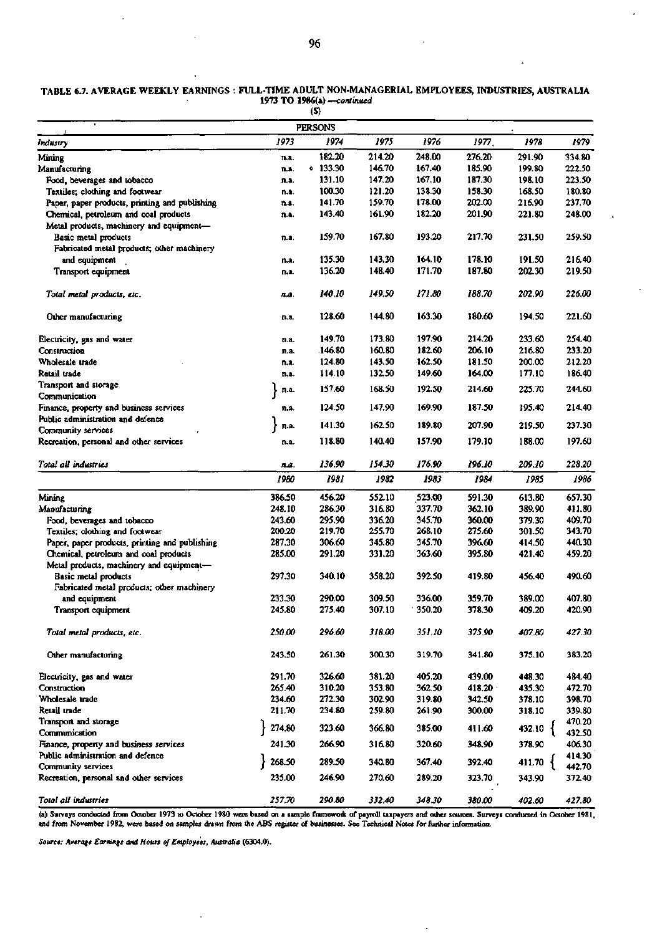|                                                |        | $\mathbf{r}$   |        |        |        |                      |        |
|------------------------------------------------|--------|----------------|--------|--------|--------|----------------------|--------|
|                                                |        | <b>PERSONS</b> |        |        |        |                      |        |
| Industry                                       | 1973   | 1974           | 1975   | 1976   | 1977,  | 1978                 | 1979   |
| Mining                                         | n.a.   | 182.20         | 214.20 | 248.00 | 276.20 | 291.90               | 334.80 |
| Manufacturing                                  | n.a.   | .133.30        | 146.70 | 167.40 | 185.90 | 199.80               | 222.50 |
| Food, beverages and tobacco                    | n.a.   | 131.10         | 147.20 | 167.10 | 187.30 | 198.10               | 223.50 |
| Textiles; clothing and footwear                | n.a.   | 100.30         | 121.20 | 138.30 | 158.30 | 168.50               | 180.80 |
| Paper, paper products, printing and publishing | n.a.   | 141.70         | 159.70 | 178.00 | 202.00 | 216.90               | 237.70 |
| Chemical, petroleum and coal products          | n.a.   | 143.40         | 161.90 | 182.20 | 201.90 | 221.80               | 248.00 |
| Metal products, machinery and equipment-       |        |                |        |        |        |                      |        |
| Basic metal products                           | n.a.   | 159.70         | 167.80 | 193.20 | 217.70 | 231.50               | 259.50 |
| Fabricated metal products; other machinery     |        |                |        |        |        |                      |        |
| and equipment                                  | n.a.   | 135.30         | 143.30 | 164.10 | 178.10 | 191.50               | 216.40 |
| Transport equipment                            | n.a.   | 136.20         | 148.40 | 171.70 | 187.80 | 202.30               | 219.50 |
| Total metal products, etc.                     | n.a.   | 140.10         | 149.50 | 171.80 | 188.70 | 202.90               | 226.00 |
|                                                |        |                |        |        |        |                      |        |
| Other manufacturing                            | n.a.   | 128.60         | 144.80 | 163.30 | 180.60 | 194.50               | 221.60 |
| Electricity, gas and water                     | n.a.   | 149.70         | 173.80 | 197.90 | 214.20 | 233.60               | 254.40 |
| Construction                                   | n.a.   | 146.80         | 160.80 | 182.60 | 206.10 | 216.80               | 233.20 |
| Wholesale trade                                | n.a.   | 124.80         | 143.50 | 162.50 | 181.50 | 200.00               | 212.20 |
| Retail trade                                   | n.a.   | 114.10         | 132.50 | 149.60 | 164.00 | 177.10               | 186.40 |
| Transport and storage                          |        |                |        |        |        |                      |        |
| Communication                                  | n.a.   | 157.60         | 168.50 | 192.50 | 214.60 | 225.70               | 244.60 |
| Finance, property and business services        | n.s.   | 124.50         | 147.90 | 169.90 | 187.50 | 195.40               | 214.40 |
| Public administration and defence              | n.a.   | 141.30         | 162.50 | 189.80 | 207.90 | 219.50               | 237.30 |
| Community services                             |        |                |        |        |        |                      |        |
| Recreation, personal and other services        | n.a.   | 118.80         | 140.40 | 157.90 | 179.10 | 188.00               | 197.60 |
| Total all industries                           | na.    | 136.90         | 154.30 | 176.90 | 196.10 | 209.10               | 228.20 |
|                                                | 1980   | 1981           | 1982   | 1983   | 1984   | 1985                 | 1986   |
| Mining                                         | 386.50 | 456.20         | 552.10 | 523.00 | 591.30 | 613.80               | 657.30 |
| Manufacturing                                  | 248.10 | 286.30         | 316.80 | 337.70 | 362.10 | 389.90               | 411.80 |
| Food, beverages and tobacco                    | 243.60 | 295.90         | 336.20 | 345.70 | 360.00 | 379.30               | 409.70 |
| Textiles; clothing and footwear                | 200.20 | 219.70         | 255.70 | 268.10 | 275.60 | 301.50               | 343.70 |
| Paper, paper products, printing and publishing | 287.30 | 306.60         | 345.80 | 345.70 | 396.60 | 414.50               | 440.30 |
| Chemical, petroleum and coal products          | 285.00 | 291.20         | 331.20 | 363.60 | 395.80 | 421.40               | 459.20 |
| Metal products, machinery and equipment-       |        |                |        |        |        |                      |        |
| Basic metal products                           | 297.30 | 340.10         | 358.20 | 392.50 | 419.80 | 456.40               | 490.60 |
| Fabricated metal products; other machinery     |        |                |        |        |        |                      |        |
| and equipment                                  | 233.30 | 290.00         | 309.50 | 336.00 | 359.70 | 389.00               | 407.80 |
| Transport equipment                            | 245.80 | 275.40         | 307.10 | 350.20 | 378.30 | 409.20               | 420.90 |
| Total metal products, etc.                     | 250.00 | 296.60         | 318.00 | 351.10 | 375.90 | 407.80               | 427.30 |
|                                                |        | 261.30         | 300.30 |        | 341.80 |                      | 383.20 |
| Other manufacturing                            | 243.50 |                |        | 319.70 |        | 375.10               |        |
| Electricity, gas and water                     | 291.70 | 326.60         | 381.20 | 405.20 | 439.00 | 448.30               | 484.40 |
| Construction                                   | 265.40 | 310.20         | 353.80 | 362.50 | 418.20 | 435.30               | 472.70 |
| Wholesale trade                                | 234.60 | 272.30         | 302.90 | 319.80 | 342.50 | 378.10               | 398.70 |
| Retail trade                                   | 211.70 | 234.80         | 259.80 | 261.90 | 300.00 | 318.10               | 339.80 |
| Transport and storage                          | 274.80 |                |        |        |        |                      | 470.20 |
| Communication                                  |        | 323.60         | 366.80 | 385.00 | 411.60 | 432.10 {             | 432.50 |
| Finance, property and business services        | 241.30 | 266.90         | 316.80 | 320.60 | 348.90 | 378.90               | 406.30 |
| Public administration and defence              |        |                |        |        |        |                      | 414.30 |
| Community services                             | 268.50 | 289.50         | 340.80 | 367.40 | 392.40 | 411.70 $\frac{1}{3}$ | 442.70 |
| Recreation, personal and other services        | 235.00 | 246.90         | 270.60 | 289.20 | 323.70 | 343.90               | 372.40 |
| Total all industries                           | 257.70 | 290.80         | 332.40 | 348.30 | 380.00 | 402.60               | 427.80 |

## **TABLE 6.7. AVERAGE WEEKLY EARNINGS FULL-TIME ADULT NON-MANAGERIAL EMPLOYEES, INDUSTRIES, AUSTRALIA 1973 TO 1986(a)** *—continued*

(a) Surveys conducted from October 1973 to October 1980 were based on a sample framewoik of payroll taxpayers and other sources. Surveys conducted in October 1981, and from November 1982, were based on samples drawn from the ABS register of businesses. See Technical Notes for further information.

t,

*Source: Average Earnings and Hours of Employees, Australia* **(6304.0).**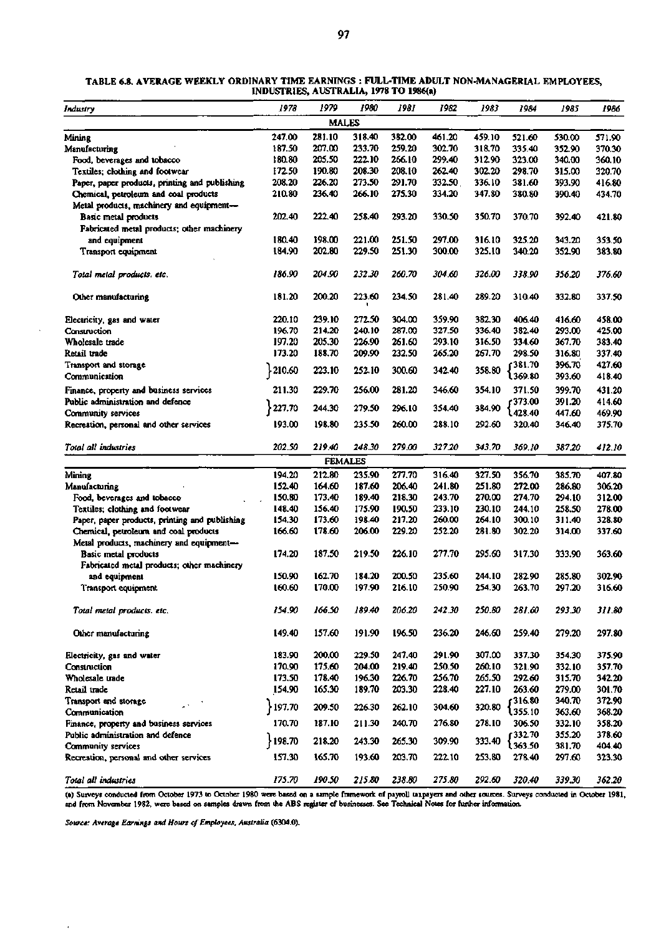| Industry                                       | 1978   | 1979         | 1980           | 1981   | 1982   | 1983   | 1984           | 1985   | 1986   |
|------------------------------------------------|--------|--------------|----------------|--------|--------|--------|----------------|--------|--------|
|                                                |        | <b>MALES</b> |                |        |        |        |                |        |        |
| Mining                                         | 247.00 | 281.10       | 318.40         | 382.00 | 461.20 | 459.10 | 521.60         | 530.00 | 571.90 |
| Manufacturing                                  | 187.50 | 207.00       | 233.70         | 259.20 | 302.70 | 318.70 | 335.40         | 352.90 | 370.30 |
| Food, beverages and tobacco                    | 180.80 | 205.50       | 222.10         | 266.10 | 299.40 | 312.90 | 323.00         | 340.00 | 360.10 |
| Textiles; clothing and footwear                | 172.50 | 190.80       | 208.30         | 208.10 | 262.40 | 302.20 | 298.70         | 315.00 | 320.70 |
| Paper, paper products, printing and publishing | 208.20 | 226.20       | 273.50         | 291.70 | 332.50 | 336.10 | 381.60         | 393.90 | 416.80 |
| Chemical, petroleum and coal products          | 210.80 | 236.40       | 266.10         | 275.30 | 334.20 | 347.80 | 380.80         | 390.40 | 434.70 |
| Metal products, machinery and equipment-       |        |              |                |        |        |        |                |        |        |
| Basic metal products                           | 202.40 | 222.40       | 258.40         | 293.20 | 330.50 | 350.70 | 370.70         | 392.40 | 421.80 |
| Fabricated metal products; other machinery     |        |              |                |        |        |        |                |        |        |
| and equipment                                  | 180.40 | 198.00       | 221.00         | 251.50 | 297.00 | 316.10 | 325.20         | 343.20 | 353.50 |
| Transport equipment                            | 184.90 | 202.80       | 229.50         | 251.30 | 300.00 | 325.10 | 340.20         | 352.90 | 383.80 |
|                                                |        |              |                |        |        |        |                |        |        |
| Total metal products. etc.                     | 186.90 | 204.90       | 232.30         | 260.70 | 304.60 | 326.00 | 338.90         | 356.20 | 376.60 |
| Other manufacturing                            | 181.20 | 200.20       | 223.60         | 234.50 | 281.40 | 289.20 | 310.40         | 332.80 | 337.50 |
| Electricity, gas and water                     | 220.10 | 239.10       | 272.50         | 304.00 | 359.90 | 382.30 | 406.40         | 416.60 | 458.00 |
| Construction                                   | 196.70 | 214.20       | 240.10         | 287.00 | 327.50 | 336.40 | 382.40         | 293.00 | 425.00 |
| Wholesale trade                                | 197.20 | 205.30       | 226.90         | 261.60 | 293.10 | 316.50 | 334.60         | 367.70 | 383.40 |
| Retail trade                                   | 173.20 | 188.70       | 209.90         | 232.50 | 265.20 | 267.70 | 298.50         | 316.80 | 337.40 |
| Transport and storage                          |        |              |                |        |        |        | 381.70 م       | 396.70 | 427.60 |
| Communication                                  | 210.60 | 223.10       | 252.10         | 300.60 | 342.40 | 358.80 | l 369.80       | 393.60 | 418.40 |
| Finance, property and business services        | 211.30 | 229.70       | 256.00         | 281.20 | 346.60 | 354.10 | 371.50         | 399.70 | 431.20 |
| Public administration and defence              |        |              |                |        |        |        | 373.00         | 391.20 | 414.60 |
| Community services                             | 227.70 | 244.30       | 279.50         | 296.10 | 354.40 | 384.90 | 428.40         | 447.60 | 469.90 |
| Recreation, personal and other services        | 193.00 | 198.80       | 235.50         | 260.00 | 288.10 | 292.60 | 320.40         | 346.40 | 375.70 |
| Total all industries                           | 202.50 | 219.40       | 248.30         | 279.00 | 327.20 | 343.70 | 369.10         | 387.20 | 412.10 |
|                                                |        |              | <b>FEMALES</b> |        |        |        |                |        |        |
| Mining                                         | 194.20 | 212.80       | 235.90         | 277.70 | 316.40 | 327.50 | 356.70         | 385.70 | 407.80 |
| Manufacturing                                  | 152.40 | 164.60       | 187.60         | 206.40 | 241.80 | 251.80 | 272.00         | 286.80 | 306.20 |
| Food, beverages and tobacco                    | 150.80 | 173.40       | 189.40         | 218.30 | 243.70 | 270.00 | 274.70         | 294.10 | 312.00 |
| Textiles; clothing and footwear                | 148.40 | 156.40       | 175.90         | 190.50 | 233.10 | 230.10 | 244.10         | 258.50 | 278.00 |
| Paper, paper products, printing and publishing | 154.30 | 173.60       | 198.40         | 217.20 | 260.00 | 264.10 | 300.10         | 311.40 | 328.80 |
| Chemical, petroleum and coal products          | 166.60 | 178.60       | 206.00         | 229.20 | 252.20 | 281.80 | 302.20         | 314.00 | 337.60 |
| Metal products, machinery and equipment-       |        |              |                |        |        |        |                |        |        |
| <b>Basic metal products</b>                    | 174.20 | 187.50       | 219.50         | 226.10 | 277.70 | 295.60 | 317.30         | 333.90 | 363.60 |
| Fabricated metal products; other machinery     |        |              |                |        |        |        |                |        |        |
| and equipment                                  | 150.90 | 162.70       | 184.20         | 200.50 | 235.60 | 244.10 | 282.90         | 285.80 | 302.90 |
| Transport equipment                            | 160.60 | 170.00       | 197.90         | 216.10 | 250.90 | 254.30 | 263.70         | 297.20 | 316.60 |
| Total metal products. etc.                     | 154.90 | 166.50       | 189.40         | 206.20 | 242.30 | 250.80 | 281.60         | 293.30 | 311.80 |
| Other manufacturing                            | 149.40 | 157.60       | 191.90         | 196.50 | 236.20 | 246.60 | 259.40         | 279.20 | 297.80 |
| Electricity, gas and water                     | 183.90 | 200.00       | 229.50         | 247.40 | 291.90 | 307.00 | 337.30         | 354.30 | 375.90 |
| Construction                                   | 170.90 | 175.60       | 204.00         | 219.40 | 250.50 | 260.10 | 321.90         | 332.10 | 357.70 |
| Wholesale trade                                | 173.50 | 178.40       | 196.30         | 226.70 | 256.70 | 265.50 | 292.60         | 315.70 | 342.20 |
| Retail trade                                   | 154.90 | 165.30       | 189.70         | 203.30 | 228.40 | 227.10 | 263.60         | 279.00 | 301.70 |
| Transport and storage<br>L.                    |        |              |                |        |        |        | f316.80        | 340.70 | 372.90 |
| Communication                                  | 197.70 | 209.50       | 226.30         | 262.10 | 304.60 | 320.80 | l 355.10       | 363.60 | 368.20 |
| Finance, property and business services        | 170.70 | 187.10       | 211.30         | 240.70 | 276.80 | 278.10 | 306.50         | 332.10 | 358.20 |
| Public administration and defence              |        |              |                |        |        |        | $f$ 332.70     | 355.20 | 378.60 |
| Community services                             | 198.70 | 218.20       | 243.30         | 265.30 | 309.90 | 333.40 | <b>\363.50</b> | 381.70 | 404.40 |
| Recreation, personal and other services        | 157.30 | 165.70       | 193.60         | 203.70 | 222.10 | 253.80 | 278.40         | 297.60 | 323.30 |
|                                                |        |              |                |        |        |        |                |        |        |

#### **TABLE 6.8. AVERAGE WEEKLY ORDINARY TIME EARNINGS : FULL-TIME ADULT NON-MANAGERIAL EMPLOYEES, INDUSTRIES, AUSTRALIA, 1978 TO 1986(a)**

*Total all industries 175.70 190.50 215.80 238.80 275.80 292.60 320.40 339.30* **Jt52.20 (a) Surveys conducted from October 1973 to October 1980 were based on a sample framewoik of payroll taxpayers and other sources. Surveys conducted in October 1981, and from November 1982, were based on samples drawn from the ABS register of businesses. See Technical Notes for further information.** 

*Source: Average Earnings and Hours of Employees, Australia* **(6304.0).**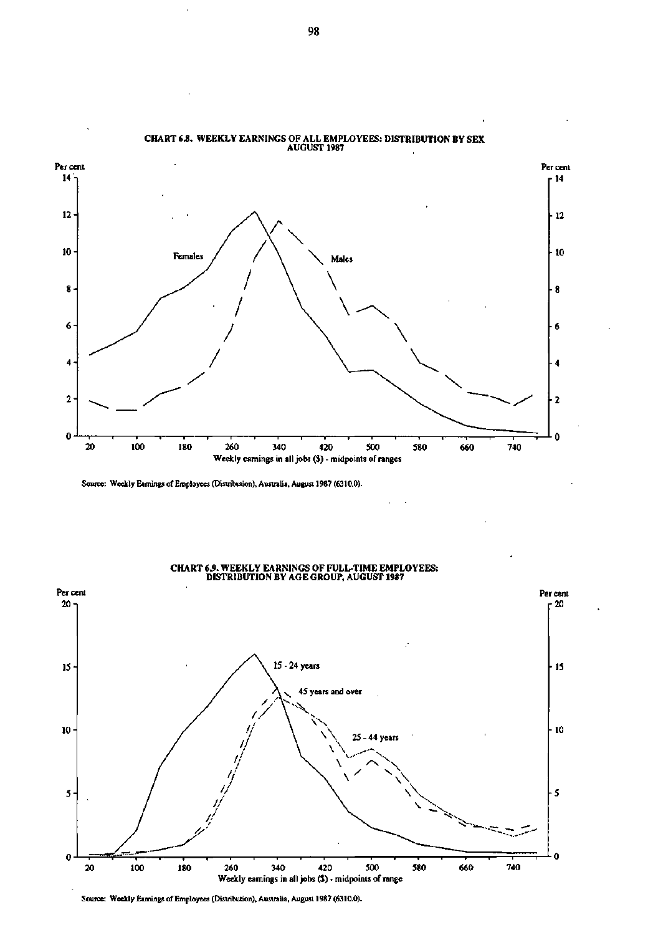

# **CHART 6.8. WEEKLY EARNINGS OF ALL EMPLOYEES: DISTRIBUTION BY SEX**

Source: Weekly Eamings of Employees (Distribution), Australia, August 1987 (6310.0).



**CHART 6.9. WEEKLY EARNINGS OF FULL-TIME EMPLOYEES: DISTRIBUTION BY AGE GROUP, AUGUST 1987** 

Source: Weekly Eamings of Employees (Distribution), Australia, August 1987 (6310.0).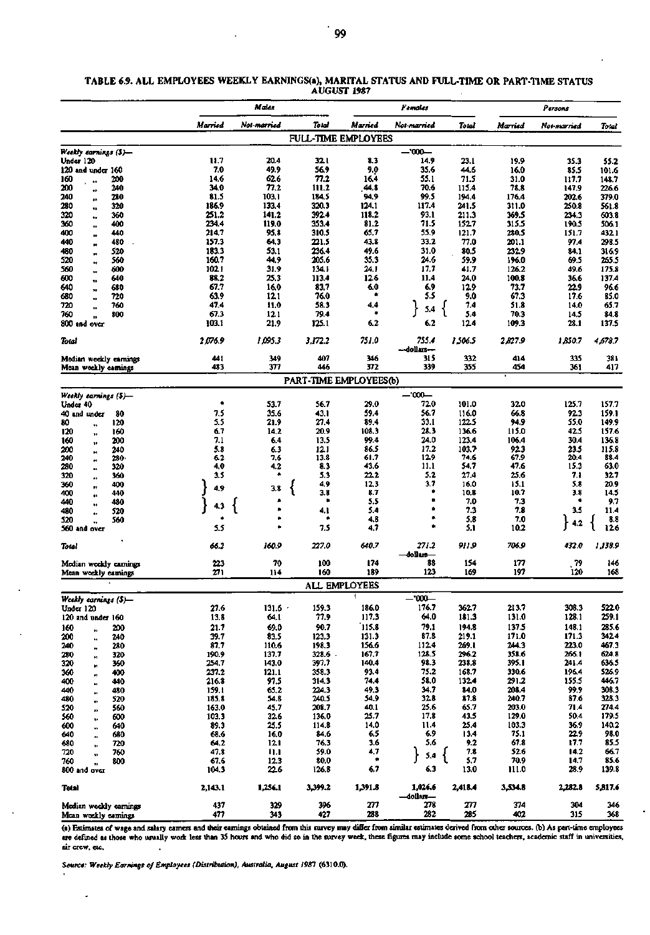|                                       |                | Maies          |                            |               | Females              |                |                | Persons        |                |  |  |
|---------------------------------------|----------------|----------------|----------------------------|---------------|----------------------|----------------|----------------|----------------|----------------|--|--|
|                                       | Married        | Not-married    | Total                      | Married       | Not-married          | Total          | Married        | Nov-married    | Total          |  |  |
|                                       |                |                | <b>FULL-TIME EMPLOYEES</b> |               |                      |                |                |                |                |  |  |
| Weekly earnings (\$)—                 |                |                |                            |               | $-1000-$             |                |                |                |                |  |  |
| Under 120                             | 11.7           | 20.4           | 32.1                       | 83            | 14.9                 | 23.1           | 19.9           | 35.3           | 55.2           |  |  |
| $120$ and under $160$                 | 7.0            | 49.9           | 56.9                       | 9.0           | 35.6                 | 44.6           | 16.0           | 85.5           | 101.6          |  |  |
| 200<br>160<br>,,                      | 14.6           | 62.6           | 77.2                       | 16.4          | 55.1                 | 71.5           | 31.0           | 117.7          | 148.7          |  |  |
| 200<br>240<br>$\bullet$               | 34.0           | 77.2           | 111.2                      | 44.8          | 70.6                 | 115.4          | 78.8           | 147.9          | 226.6          |  |  |
| 240<br>280<br>$\bullet$               | 81.5           | 103.1          | 184.5                      | 94.9          | 99.5                 | 194.4          | 176.4          | 202.6          | 379.0          |  |  |
| 280<br>320<br>73                      | 186.9          | 133.4          | 320.3                      | 124.1         | 117.4                | 241.5          | 311.0          | 250.8          | 561.8          |  |  |
| 320<br>360<br>$\bullet$<br>360<br>400 | 251.2<br>234.4 | 141.2<br>119.0 | 392.4<br>353.4             | 118.2<br>81.2 | 93.1<br>71.5         | 211.3<br>152.7 | 369.5<br>315.5 | 234.3<br>190.5 | 603.8<br>506.1 |  |  |
| $\bullet$<br>400<br>440               | 214.7          | 95.8           | 310.5                      | 65.7          | 55.9                 | 121.7          | 280.5          | 151.7          | 432.1          |  |  |
| w<br>440<br>480                       | 157.3          | 64.3           | 221.5                      | 43.8          | 33.2                 | 77.0           | 201.1          | 97.4           | 298.5          |  |  |
| m<br>480<br>520                       | 183.3          | 53.1           | 236.4                      | 49.6          | 31.0                 | 80.5           | 232.9          | 84.1           | 316.9          |  |  |
| m<br>520<br>560<br>Ħ                  | 160.7          | 44.9           | 205.6                      | 35.3          | 24.6                 | 59.9           | 196.0          | 69.5           | 265.5          |  |  |
| 560<br>600<br>$\bullet$               | 102.1          | 31.9           | 134.1                      | 24.1          | 17,7                 | 41.7           | 126.2          | 49.6           | 175.8          |  |  |
| 600<br>640<br>$\bullet$               | 88.2           | 25.3           | 113.4                      | 126           | 11.4                 | 24.0           | 100.8          | 36.6           | 137.4          |  |  |
| 640<br>680                            | 67.7           | 16.0           | 83.7                       | 6.0           | 6.9                  | 12.9           | 73.7           | 22.9           | 96.6           |  |  |
| 680<br>720                            | 63.9           | 12.1           | 76.0                       | ۰             | 55                   | 9.0            | 67.3           | 17.6           | 85.0           |  |  |
| 720<br>760                            | 47.4           | 11.0           | 58.3                       | 4.4           | 5.4                  | 7.4            | 51.8           | 14.0           | 65.7           |  |  |
| 760<br>800                            | 67.3           | 121            | 79.4                       |               |                      | 5.4            | 70.3           | 14.5           | 84.8           |  |  |
| 800 and over                          | 103.1          | 21,9           | 125.1                      | 6.2           | 6.2                  | 124            | 109.3          | 28.1           | 137.5          |  |  |
| Total                                 | 2,076.9        | 1,095.3        | 3,172.2                    | 751.0         | 755.4                | 1,506.5        | 2,827.9        | 1,850.7        | 4,678.7        |  |  |
|                                       |                |                |                            |               | --dollars---         |                |                |                |                |  |  |
| Median weekly carnings                | 441            | 349            | 407                        | 346           | 315                  | 332            | 414            | 335            | 381            |  |  |
| Mcan weekly camings                   | 483            | 377            | 446                        | 372           | 339                  | 355            | 454            | 361            | 417            |  |  |
|                                       |                |                | PART-TIME EMPLOYEES(b)     |               |                      |                |                |                |                |  |  |
| Weekly earnings (\$)-                 |                |                |                            |               | —'000—               |                |                |                |                |  |  |
| Under 40                              | ٠              | 53.7           | 56.7                       | 29.0          | 720                  | 101.0          | 32.0           | 125.7          | 157.7          |  |  |
| 40 and under<br>80                    | 7.5            | 35.6           | 43.1                       | 59.4          | 56.7                 | 116.0          | 66.8           | 92.3           | 159.1          |  |  |
| 80<br>120<br>78                       | 5.5            | 21.9           | 27.4                       | 89.4          | 33.1                 | 122.5          | 94.9           | 55.0           | 149.9          |  |  |
| 120<br>160<br>$^{\ast}$               | 6.7            | 14.2           | 20.9                       | 108.3         | 28.3                 | 136.6          | 115.0          | 42.5           | 157.6          |  |  |
| 160<br>200<br>ţÞ.                     | 7.1            | 6.4            | 13.5                       | 99.4          | 24.0                 | 123.4          | 106.4          | 30.4           | 136.8          |  |  |
| 200<br>240                            | 5.8            | 6.3            | 12.1                       | 86.5          | 17.2                 | 103.7          | 923            | 23.5           | 115.8          |  |  |
| 240<br>280.                           | 62             | 7.6            | 13.8                       | 61.7          | 12.9                 | 74.6           | 67.9           | 20.4           | 88.4           |  |  |
| 280<br>320<br>и                       | 4,0            | 4.2            | 8.3                        | 43.6          | 11.1                 | 54.7           | 47.6           | 15.3           | 63.0           |  |  |
| 320<br>360<br>.,                      | 3.5            |                | 5.3                        | 22.2          | 5.2                  | 27.4           | 25.6           | 7.1            | 32.7           |  |  |
| 360<br>400<br>п.                      | 4,9            | 3.8            | 4,9                        | 12.3          | 3.7                  | 16.0           | 15.1           | 5.8            | 20.9           |  |  |
| 400<br>440<br>٠                       |                |                | 3.8<br>٠                   | 8.7<br>5.5    | ۰                    | 10.8           | 10.7<br>7.3    | 3.8            | 14.5<br>9.7    |  |  |
| 440<br>480<br>480<br>520              | 43             |                | 4,1                        | 5.4           | ۰                    | 7.0<br>73      | 7.8            | 3.5            | 11.4           |  |  |
| 520<br>560                            |                |                |                            | 4.8           | ٠                    | 5.8            | 7.0            |                | 8.8            |  |  |
| 560 and over                          | 5.5            |                | 7.5                        | 4.7           | ۰                    | 5.1            | 10.2           | 4.2            | 12.6           |  |  |
|                                       |                |                |                            |               |                      |                |                |                |                |  |  |
| Total                                 | 66.2           | 160.9          | 227.0                      | 640.7         | 271.2<br>—dollars—   | 911.9          | 706.9          | 432.0          | 1,138.9        |  |  |
| Median weekly earnings                | 223            | 70             | 100                        | 174           | 88                   | 154            | 177            | 79             | 146            |  |  |
| Mean weekly earnings                  | 271            | 114            | 160                        | 189           | 123                  | 169            | 197            | 120            | 168            |  |  |
|                                       |                |                |                            | ALL EMPLOYEES |                      |                |                |                |                |  |  |
|                                       |                |                |                            |               |                      |                |                |                |                |  |  |
| Weekly earnings (\$)—                 | 27.6           |                | 159.3                      | 186.0         | --'000--<br>176.7    | 362.7          | 213.7          | 308.3          | 522.0          |  |  |
| Under 120<br>120 and under 160        | 13.8           | 131.6<br>64.1  | 77.9                       | 117.3         | 64.0                 | 181.3          | 131.0          | 128.1          | 259.1          |  |  |
| 160<br>200                            | 21.7           | 69.0           | 90.7                       | 115.8         | 79.1                 | 194.8          | 137.5          | 148.1          | 285.6          |  |  |
| N<br>200<br>240                       | 39.7           | 83.5           | 123.3                      | 131.3         | 87.8                 | 219.1          | 171.0          | 171.3          | 342.4          |  |  |
| bģ.<br>240<br>280                     | 87.7           | 110.6          | 198.3                      | 156.6         | 112.4                | 269.1          | 244.3          | 223.0          | 467.3          |  |  |
| ×<br>280<br>320                       | 190.9          | 137.7          | 328.6                      | 167.7         | 128.5                | 296.2          | 358.6          | 266.1          | 624.8          |  |  |
| й<br>320<br>360<br>и                  | 254.7          | 143.0          | 397.7                      | 140.4         | 98.3                 | 238.8          | 395.1          | 241.4          | 636.5          |  |  |
| 360<br>400                            | 237.2          | 121.1          | 358.3                      | 93.4          | 75.2                 | 168.7          | 330.6          | 196.4          | 526.9          |  |  |
| 400<br>440<br>и                       | 216.8          | 97.5           | 314.3                      | 74.4          | 58.0                 | 132.4          | 291.2          | 155.5          | 446.7          |  |  |
| 440<br>480<br>ø                       | 159.1          | 65.2           | 224.3                      | 49.3          | 34.7                 | 84.0           | 208.4          | 99.9           | 308.3          |  |  |
| 480<br>520<br>m                       | 185.8          | 54.8           | 240.5                      | 54.9          | 32.8                 | 87.8           | 240.7          | 87.6           | 328.3          |  |  |
| 520<br>560<br>,,                      | 163.0          | 45,7           | 208.7                      | 40.1          | 25.6                 | 65.7           | 203.0          | 71.4           | 274.4          |  |  |
| 560<br>600<br>ţ.                      | 103.3          | 32.6           | 136.0                      | 25.7          | 17.8                 | 43.5           | 129.0          | 50.4           | 179.5          |  |  |
| 600<br>640<br>u                       | 89.3           | 25.5           | 114.8                      | 14.0          | 11.4<br>69           | 25.4           | 103.3          | 36.9<br>22.9   | 140.2          |  |  |
| 640<br>680                            | 68.6           | 16.0           | 84.6<br>76.3               | 6.5<br>3.6    | 5.6                  | 13.4<br>9.2    | 75.1<br>67.8   | 17.7           | 98.0<br>85.5   |  |  |
| 680<br>720<br>720<br>760              | 64.2<br>47.8   | 12.1<br>11.1   | 59.0                       | 4.7           |                      | 7.8            | 52.6           | 14.2           | 66.7           |  |  |
| 760<br>800                            | 67.6           | 12.3           | 80.0                       | ۰             | ł<br>5,4             | 5.7            | 70.9           | 14.7           | 85.6           |  |  |
| 800 and over                          | 104.3          | 226            | 126.8                      | 6.7           | 6.3                  | 13.0           | 111.0          | 28.9           | 139.8          |  |  |
|                                       |                |                |                            |               |                      |                |                |                |                |  |  |
| Total                                 | 2,143.1        | 1,256.1        | 3,399.2                    | 1,391.8       | 1,026.6<br>—dollars— | 2,418.4        | 3,534.8        | 2,282.8        | 5,817.6        |  |  |
| Modian weekly earnings                | 437            | 329            | 396                        | 277           | 278                  | 277            | 374            | 304            | 346            |  |  |
| Mean weekly eamings                   | 477            | 343            | 427                        | 238           | 282                  | 285            | 402            | 315            | 368            |  |  |

#### **TABLE 6.9. ALL EMPLOYEES WEEKLY EARNINGS(a), MARITAL STATUS AND FULL-TIME OR PART-TIME STATUS AUGUST 1987**

**(a) Estimates of wage and salary earners and their earnings obtained from this survey may differ from similar estimates derived from other sources, (b) As part-time employees are defined as those who usually work less than 35 hours and who did so in the survey week, these figures may include some school teachers, academic staff in universities, air crew, etc.** 

 $\overline{a}$ 

**Source-** *Weekly Earnings of Employees (Distribution), Australia, August 1981* **(6310.0).** 

J,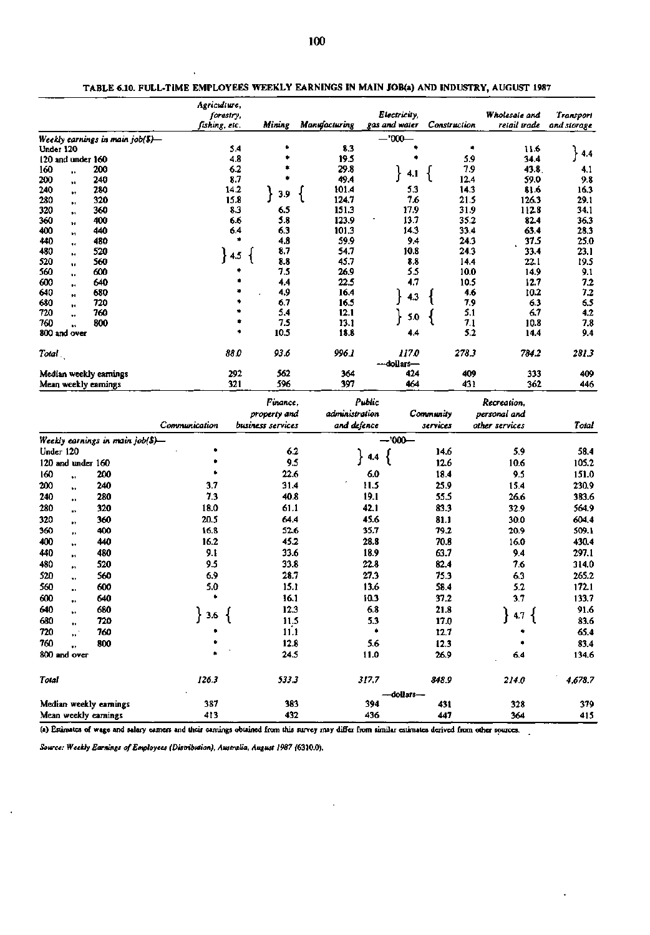|                                    |                                    | Agriculture,  |           |                   |                |        |                               |              |            |                  |             |
|------------------------------------|------------------------------------|---------------|-----------|-------------------|----------------|--------|-------------------------------|--------------|------------|------------------|-------------|
|                                    |                                    |               | forestry, | Mining            | Manufacturing  |        | Electricity,<br>gas and water |              |            | Wholesale and    | Transport   |
|                                    |                                    | fishing, etc. |           |                   |                |        |                               | Construction |            | retail trade     | and storage |
|                                    | Weekly earnings in main $job(5)$ — |               | 5.4       |                   | 8.3            |        | $-7000-$                      |              | ۰          |                  |             |
| Under 120<br>$120$ and under $160$ |                                    |               | 4.8       |                   | 19.5           |        |                               |              | 5.9        | 11.6<br>34.4     | 4.4         |
| 160                                | 200                                |               | 6.2       |                   | 29.8           |        |                               |              | 7.9        | 43.8.            | 4.1         |
| ٠.<br>200                          | 240                                |               | 8.7       |                   | 49.4           |        | 4.1                           |              | 12.4       | 59.0             | 9.8         |
| ÷ŧ.<br>240<br>Ħ                    | 280                                |               | 14.2      |                   | 101.4          |        | 5.3                           |              | 14.3       | 81.6             | 16.3        |
| 280<br>Ħ                           | 320                                |               | 15.8      | 3.9               | 124.7          |        | 7.6                           |              | 21.5       | 126.3            | 29.1        |
| 320<br>,,                          | 360                                |               | 8.3       | 6.5               | 151.3          |        | 17.9                          |              | 31.9       | 112.8            | 34.1        |
| 360<br>ŧ۵                          | 400                                |               | 6.6       | 5.8               | 123.9          |        | 13.7                          |              | 35.2       | 82.4             | 36.3        |
| 400<br>11                          | 440                                |               | 6.4       | 6.3               | 101.3          |        | 14.3                          |              | 33.4       | 63.4             | 28.3        |
| 440<br>Ħ                           | 480                                |               | ٠         | 4.8               | 59.9           |        | 9.4                           |              | 24.3       | 37.5             | 25.0        |
| 480<br>14                          | 520                                |               | $\}$ 4.5  | 8.7               | 54.7           |        | 10.8                          |              | 24.3       | 33.4             | 23.1        |
| 520<br>11                          | 560                                |               |           | 8.8               | 45.7           |        | 8,8                           |              | 14.4       | 22.1             | 19.5        |
| 560<br>٠.                          | 600                                |               |           | 75                | 26.9           |        | 5.5                           |              | 10.0       | 14.9             | 9.1         |
| 600<br>93                          | 640                                |               |           | 4,4               | 22.5           |        | 4.7                           |              | 10.5       | 12.7             | 7.2         |
| 640<br>,,                          | 680                                |               |           | 4.9               | 16.4           |        | 4.3                           |              | 4.6        | 10.2             | 7.2         |
| 680<br>$\ddot{\phantom{1}}$        | 720                                |               |           | 6.7               | 16.5           |        |                               |              | 7.9        | 63               | 6.5         |
| 720<br>٠.                          | 760                                |               |           | 5.4               | 12.1           |        | 5.0                           |              | 5.1        | 6.7              | 4.2         |
| 760<br>u<br>800 and over           | 800                                |               | ٠         | 7.5<br>10.5       | 13.1<br>18.8   |        | 4.4                           |              | 7.1<br>5.2 | 10.8<br>14.4     | 7.8<br>9.4  |
|                                    |                                    |               |           |                   |                |        |                               |              |            |                  |             |
| Total.                             |                                    |               | 88.0      | 93.6              | 996.1          |        | 117.0                         |              | 278.3      | 784.2            | 281.3       |
|                                    |                                    |               |           |                   |                |        | -dollars-                     |              |            |                  |             |
| Median weekly eamings              |                                    |               | 292       | 562               | 364            |        | 424                           |              | 409        | 333              | 409         |
| Mean weekly earnings               |                                    |               | 321       | 596               | 397            |        | 464                           |              | 431        | 362              | 446         |
|                                    |                                    |               |           |                   |                |        |                               |              |            |                  |             |
|                                    |                                    |               |           | Finance,          |                | Public |                               |              |            | Recreation.      |             |
|                                    |                                    |               |           | property and      | administration |        |                               | Community    |            | personal and     |             |
|                                    |                                    | Communication |           | business services | and defence    |        |                               | services     |            | other services   | Total       |
|                                    | Weekly earnings in main job(\$)—   |               |           |                   |                |        | $-000-$                       |              |            |                  |             |
| Under 120                          |                                    |               |           | 6.2               |                | 4.4    |                               | 14.6         |            | 5.9              | 58.4        |
| 120 and under 160                  |                                    |               |           | 9.5               |                |        |                               | 12.6         |            | 10.6             | 105.2       |
| 160<br>w                           | 200                                | ۰             |           | 22.6              |                | 6.0    |                               | 18.4         |            | 9.5              | 151.0       |
| 200<br>¥.                          | 240                                | 3.7           |           | 31.4              |                | 11.5   |                               | 25.9         |            | 15.4             | 230.9       |
| 240<br>٠.                          | 280                                | 73            |           | 40.8              |                | 19.1   |                               | 55.5         |            | 26.6             | 383.6       |
| 280<br>œ,                          | 320                                | 18.0          |           | 61.1              |                | 42.1   |                               | 83.3         |            | 32.9             | 564.9       |
| 320<br>Ħ                           | 360                                | 20.5          |           | 64.4              |                | 45.6   |                               | 81.1         |            | 30.0             | 604.4       |
| 360<br>$\bullet$                   | 400                                | 16.8          |           | 52.6              |                | 35.7   |                               | 79.2         |            | 20.9             | 509.1       |
| 400<br>w                           | 440                                | 16.2          |           | 45.2              |                | 28.8   |                               | 70.8         |            | 16.0             | 430.4       |
| 440                                | 480                                | 9.1           |           | 33.6              |                | 18.9   |                               | 63.7         |            | 9.4              | 297.1       |
| Ħ<br>480                           | 520                                | 9.5           |           | 33.8              |                | 22.8   |                               | 82.4         |            | 7.6              | 314.0       |
| m<br>520                           | 560                                | 6.9           |           | 28.7              |                | 27.3   |                               | 75.3         |            | 6.3              | 265.2       |
| ٠.<br>560                          | 600                                | 5.0           |           | 15.1              |                | 13.6   |                               | 58.4         |            | 5.2              | 172.1       |
| ,,<br>600                          |                                    | ٠             |           | 16.1              |                | 10.3   |                               | 37.2         |            | 3.7              |             |
|                                    | 640                                |               |           |                   |                |        |                               |              |            |                  | 133.7       |
| 640<br>₩                           | 680                                | 3.6           |           | 12.3              |                | 6.8    |                               | 21.8         |            | $4.7\frac{1}{2}$ | 91.6        |
| 680<br>11                          | 720                                |               |           | 11,5              |                | 5.3    |                               | 17.0         |            |                  | 83.6        |
| 720<br>"∙                          | 760                                |               |           | 11.1              |                | ۰      |                               | 12.7         |            |                  | 65.4        |
| 760<br>┅                           | 800                                |               |           | 12.8              |                | 5.6    |                               | 12.3         |            |                  | 83.4        |
| 800 and over                       |                                    |               |           | 24.5              |                | 11.0   |                               | 26.9         |            | 6.4              | 134.6       |
| Total                              |                                    | 126.3         |           | 533.3             |                | 317.7  |                               | 848.9        |            | 214.0            | 4,678.7     |
|                                    |                                    |               |           |                   |                |        | -dollars--                    |              |            |                  |             |
| Median weekly earnings             |                                    | 387           |           | 383               |                | 394    |                               | 431          |            | 328              | 379         |
| Mean weekly earnings               |                                    | 413           |           | 432               |                | 436    |                               | 447          |            | 364              | 415         |

**TABLE 6.10. FULL-TIME EMPLOYEES WEEKLY EARNINGS IN MAIN JOB(a) AND INDUSTRY, AUGUST 1987** 

**(a) Estimates of wage and salary earners and their earnings obtained from this survey may differ from similar estimates derived from other sources.** 

Source: Weekly Earnings of Employees (Distribution), Australia, August 1987 (6310.0).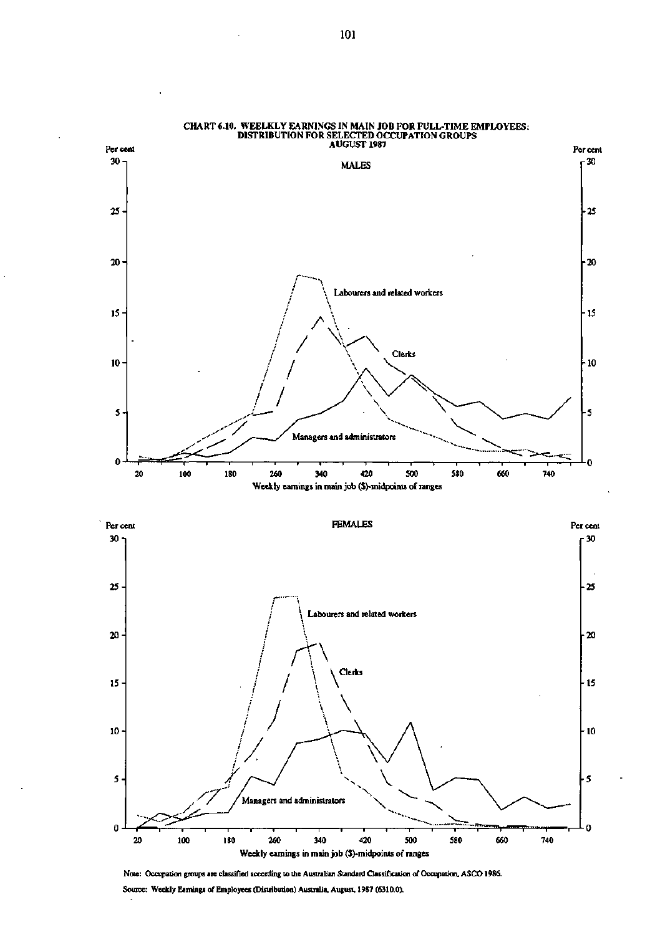

**CHART 6.10. WEELKLY EARNINGS IN MAIN JOB FOR FULL-TIME EMPLOYEES:** 

**Note: Occupation groups are classified according to the Australian Standard Classification of Occupation, ASCO 1986. Source: Weekly Earnings of Employees (Distribution) Australia, August, 1987 (6310.0).**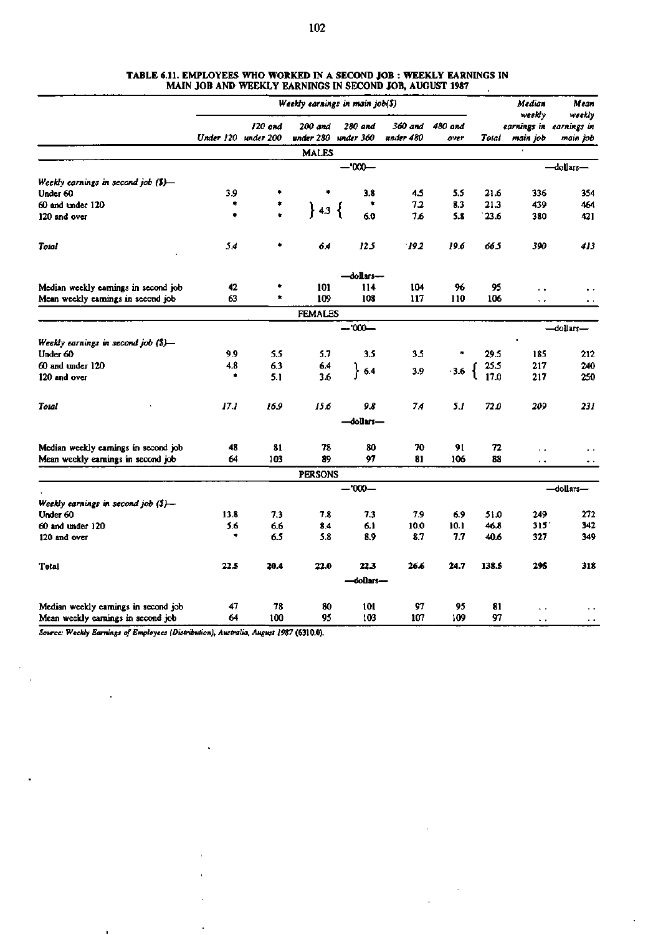|                                      |      | Weekly earnings in main job(\$) |                      | Median<br>weekly     | Mean<br>weekly       |                 |       |                      |                                     |
|--------------------------------------|------|---------------------------------|----------------------|----------------------|----------------------|-----------------|-------|----------------------|-------------------------------------|
|                                      |      | 120 and<br>Under 120 under 200  | 200 and<br>under 280 | 280 and<br>under 360 | 360 and<br>under 480 | 480 and<br>over | Total | main job             | earnings in earnings in<br>main job |
|                                      |      |                                 | <b>MALES</b>         |                      |                      |                 |       |                      |                                     |
|                                      |      |                                 |                      | $-1000-$             |                      |                 |       |                      | -dollars-                           |
| Weekly earnings in second job (\$)-  |      |                                 |                      |                      |                      |                 |       |                      |                                     |
| Under 60                             | 3.9  | ٠                               | ۰                    | 3.8                  | 4.5                  | 5.5             | 21.6  | 336                  | 354                                 |
| 60 and under 120                     |      |                                 |                      |                      | 7.2                  | 8.3             | 21.3  | 439                  | 464                                 |
| 120 and over                         | ٠    |                                 | $\}$ 4.3 $\{$        | 6.0                  | 7.6                  | 5.8             | 23.6  | 380                  | 421                                 |
| <b>Total</b>                         | 54   |                                 | 64                   | 125                  | 192                  | 19.6            | 66.5  | 390                  | 413                                 |
|                                      |      |                                 |                      | -dollars---          |                      |                 |       |                      |                                     |
| Median weekly earnings in second job | 42   |                                 | 101                  | 114                  | 104                  | 96              | 95    | $\ddot{\phantom{0}}$ |                                     |
| Mean weekly earnings in second job   | 63   | ۰                               | 109                  | 108                  | 117                  | 110             | 106   | $\ddot{\phantom{0}}$ |                                     |
|                                      |      |                                 | <b>FEMALES</b>       |                      |                      |                 |       |                      |                                     |
|                                      |      |                                 |                      | -dollars-            |                      |                 |       |                      |                                     |
| Weekly earnings in second job (\$)—  |      |                                 |                      |                      |                      |                 |       |                      |                                     |
| Under 60                             | 9.9  | 5.5                             | 5.7                  | 3.5                  | 3.5                  |                 | 29.5  | 185                  | 212                                 |
| 60 and under 120                     | 4.8  | 6.3                             | 6.4                  | 6.4                  | 3.9                  | $-3.6$          | 25.5  | 217                  | 240                                 |
| 120 and over                         | ٠    | 5.1                             | 3.6                  |                      |                      |                 | 17.0  | 217                  | 250                                 |
| Total                                | 17.1 | 16.9                            | 15.6                 | 9.8                  | 74                   | 53              | 72.0  | 209                  | 231                                 |
|                                      |      |                                 |                      | -dollars-            |                      |                 |       |                      |                                     |
| Median weekly earnings in second job | 48   | 81                              | 78                   | 80                   | 70                   | 91              | 72    | $\ddot{\phantom{0}}$ |                                     |
| Mean weekly earnings in second job   | 64   | 103                             | 89                   | 97                   | 81                   | 106             | 88    | $\ddot{\phantom{1}}$ | $\ddot{\phantom{1}}$                |
|                                      |      |                                 | <b>PERSONS</b>       |                      |                      |                 |       |                      |                                     |
|                                      |      |                                 |                      | $-000-$              |                      |                 |       |                      | -dollars-                           |
| Weekly earnings in second job (\$)-  |      |                                 |                      |                      |                      |                 |       |                      |                                     |
| Under 60                             | 13.8 | 7.3                             | 7.8                  | 7.3                  | 7.9                  | 6.9             | 51.0  | 249                  | 272                                 |
| 60 and under 120                     | 5.6  | 6.6                             | 8.4                  | 6.1                  | 10.0                 | 10.1            | 46.8  | 315                  | 342                                 |
| 120 and over                         | ۰    | 6.5                             | 5.8                  | 8.9                  | 8.7                  | 7.7             | 40.6  | 327                  | 349                                 |
| Total                                | 22.5 | 20.4                            | 22.0                 | 22.3                 | 26.6                 | 24.7            | 138.5 | 295                  | 318                                 |
|                                      |      |                                 |                      | -dollars-            |                      |                 |       |                      |                                     |
| Median weekly earnings in second job | 47   | 78                              | 80                   | 101                  | 97                   | 95              | 81    | $\ddot{\phantom{0}}$ |                                     |
| Mean weekly earnings in second job   | 64   | 100                             | 95                   | 103                  | 107                  | 109             | 97    | L.                   | . .                                 |

#### **TABLE 6.11. EMPLOYEES WHO WORKED IN A SECOND JOB : WEEKLY EARNINGS IN MAIN JOB AND WEEKLY EARNINGS IN SECOND JOB, AUGUST 1987**

*Source: Weekly Earnings of Employees (Distribution), Australia, August 1987* **(6310.0).** 

 $\overline{\phantom{a}}$  $\epsilon$ 

 $\bar{.}$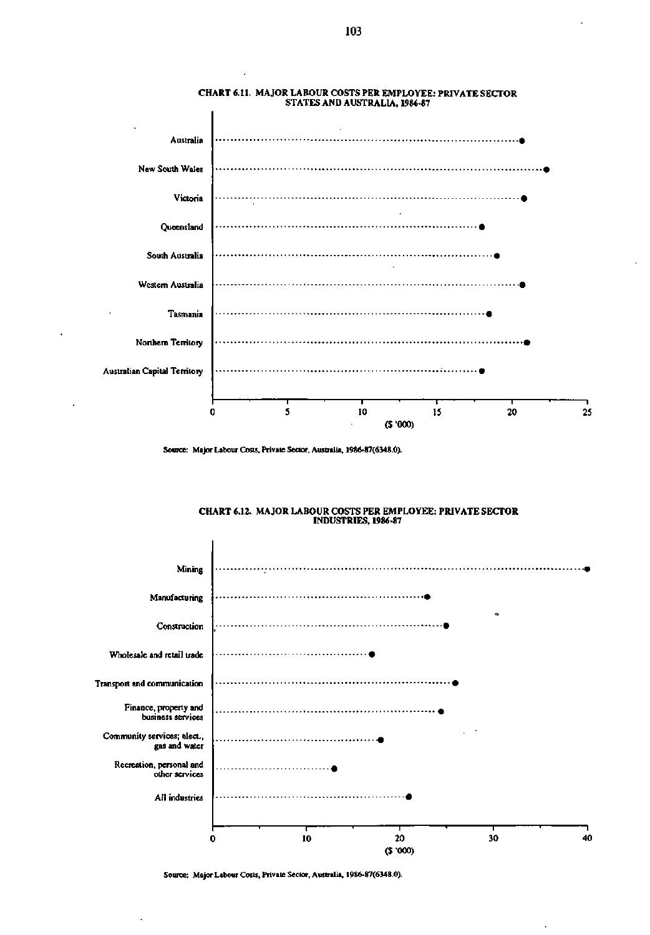







Source: Major Labour Costs, Private Sector, Australia, 1986-87(6348.0).

Source: Major Labour Costs, Private Sector, Australia, 1986-87(6348.0).